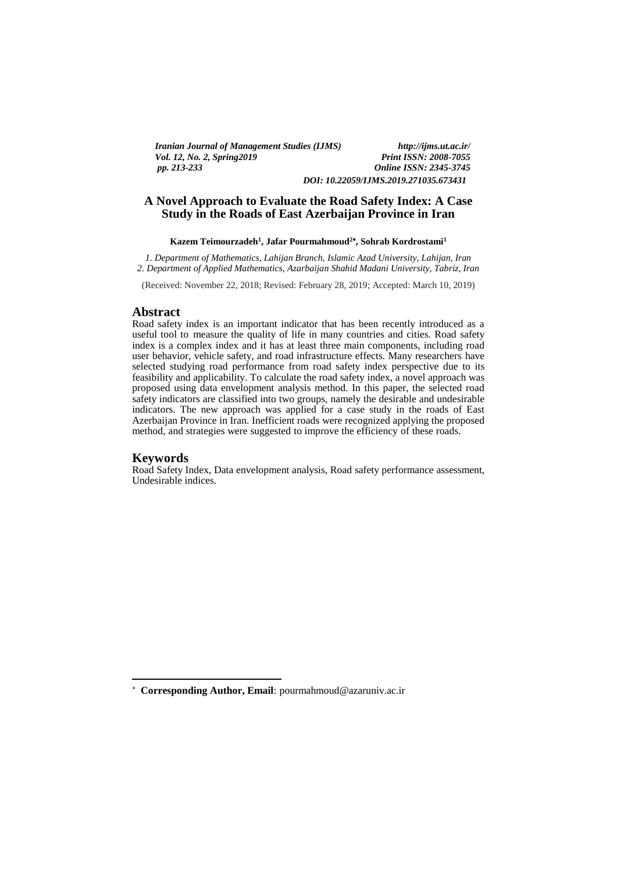*Iranian Journal of Management Studies (IJMS) http://ijms.ut.ac.ir/ Vol. 12, No. 2, Spring 2019 pp. 213-233 Online ISSN: 2345-3745 DOI: 10.22059/IJMS.2019.271035.673431*

# **A Novel Approach to Evaluate the Road Safety Index: A Case**

# **Study in the Roads of East Azerbaijan Province in Iran Kazem Teimourzadeh<sup>1</sup> , Jafar Pourmahmoud<sup>2</sup> , Sohrab Kordrostami<sup>1</sup>**

*1. Department of Mathematics, Lahijan Branch, Islamic Azad University, Lahijan, Iran 2. Department of Applied Mathematics, Azarbaijan Shahid Madani University, Tabriz, Iran*

(Received: November 22, 2018; Revised: February 28, 2019; Accepted: March 10, 2019)

## **Abstract**

Road safety index is an important indicator that has been recently introduced as a useful tool to measure the quality of life in many countries and cities. Road safety index is a complex index and it has at least three main components, including road user behavior, vehicle safety, and road infrastructure effects. Many researchers have selected studying road performance from road safety index perspective due to its feasibility and applicability. To calculate the road safety index, a novel approach was proposed using data envelopment analysis method. In this paper, the selected road safety indicators are classified into two groups, namely the desirable and undesirable indicators. The new approach was applied for a case study in the roads of East Azerbaijan Province in Iran. Inefficient roads were recognized applying the proposed method, and strategies were suggested to improve the efficiency of these roads.

#### **Keywords**

<u>.</u>

Road Safety Index, Data envelopment analysis, Road safety performance assessment, Undesirable indices.

**Corresponding Author, Email**: pourmahmoud@azaruniv.ac.ir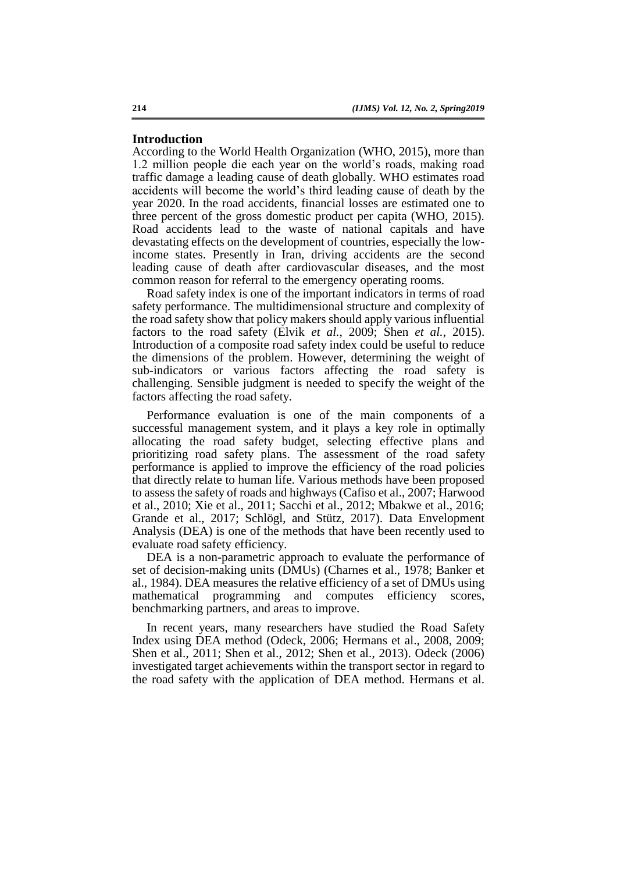### **Introduction**

According to the World Health Organization (WHO, 2015), more than 1.2 million people die each year on the world's roads, making road traffic damage a leading cause of death globally. WHO estimates road accidents will become the world's third leading cause of death by the year 2020. In the road accidents, financial losses are estimated one to three percent of the gross domestic product per capita (WHO, 2015). Road accidents lead to the waste of national capitals and have devastating effects on the development of countries, especially the lowincome states. Presently in Iran, driving accidents are the second leading cause of death after cardiovascular diseases, and the most common reason for referral to the emergency operating rooms.

Road safety index is one of the important indicators in terms of road safety performance. The multidimensional structure and complexity of the road safety show that policy makers should apply various influential factors to the road safety (Elvik *et al.*, 2009; Shen *et al.*, 2015). Introduction of a composite road safety index could be useful to reduce the dimensions of the problem. However, determining the weight of sub-indicators or various factors affecting the road safety is challenging. Sensible judgment is needed to specify the weight of the factors affecting the road safety.

Performance evaluation is one of the main components of a successful management system, and it plays a key role in optimally allocating the road safety budget, selecting effective plans and prioritizing road safety plans. The assessment of the road safety performance is applied to improve the efficiency of the road policies that directly relate to human life. Various methods have been proposed to assess the safety of roads and highways (Cafiso et al., 2007; Harwood et al., 2010; Xie et al., 2011; Sacchi et al., 2012; Mbakwe et al., 2016; Grande et al., 2017; Schlögl, and Stütz, 2017). Data Envelopment Analysis (DEA) is one of the methods that have been recently used to evaluate road safety efficiency.

DEA is a non-parametric approach to evaluate the performance of set of decision-making units (DMUs) (Charnes et al., 1978; Banker et al., 1984). DEA measures the relative efficiency of a set of DMUs using mathematical programming and computes efficiency scores, benchmarking partners, and areas to improve.

In recent years, many researchers have studied the Road Safety Index using DEA method (Odeck, 2006; Hermans et al., 2008, 2009; Shen et al., 2011; Shen et al., 2012; Shen et al., 2013). Odeck (2006) investigated target achievements within the transport sector in regard to the road safety with the application of DEA method. Hermans et al.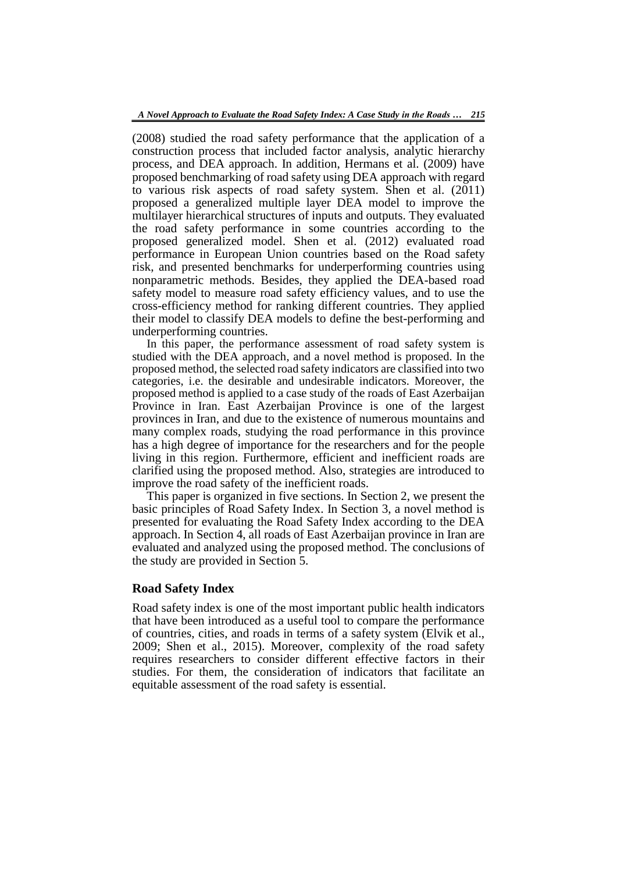(2008) studied the road safety performance that the application of a construction process that included factor analysis, analytic hierarchy process, and DEA approach. In addition, Hermans et al. (2009) have proposed benchmarking of road safety using DEA approach with regard to various risk aspects of road safety system. Shen et al. (2011) proposed a generalized multiple layer DEA model to improve the multilayer hierarchical structures of inputs and outputs. They evaluated the road safety performance in some countries according to the proposed generalized model. Shen et al. (2012) evaluated road performance in European Union countries based on the Road safety risk, and presented benchmarks for underperforming countries using nonparametric methods. Besides, they applied the DEA-based road safety model to measure road safety efficiency values, and to use the cross-efficiency method for ranking different countries. They applied their model to classify DEA models to define the best-performing and underperforming countries.

In this paper, the performance assessment of road safety system is studied with the DEA approach, and a novel method is proposed. In the proposed method, the selected road safety indicators are classified into two categories, i.e. the desirable and undesirable indicators. Moreover, the proposed method is applied to a case study of the roads of East Azerbaijan Province in Iran. East Azerbaijan Province is one of the largest provinces in Iran, and due to the existence of numerous mountains and many complex roads, studying the road performance in this province has a high degree of importance for the researchers and for the people living in this region. Furthermore, efficient and inefficient roads are clarified using the proposed method. Also, strategies are introduced to improve the road safety of the inefficient roads.

This paper is organized in five sections. In Section 2, we present the basic principles of Road Safety Index. In Section 3, a novel method is presented for evaluating the Road Safety Index according to the DEA approach. In Section 4, all roads of East Azerbaijan province in Iran are evaluated and analyzed using the proposed method. The conclusions of the study are provided in Section 5.

## **Road Safety Index**

Road safety index is one of the most important public health indicators that have been introduced as a useful tool to compare the performance of countries, cities, and roads in terms of a safety system (Elvik et al., 2009; Shen et al., 2015). Moreover, complexity of the road safety requires researchers to consider different effective factors in their studies. For them, the consideration of indicators that facilitate an equitable assessment of the road safety is essential.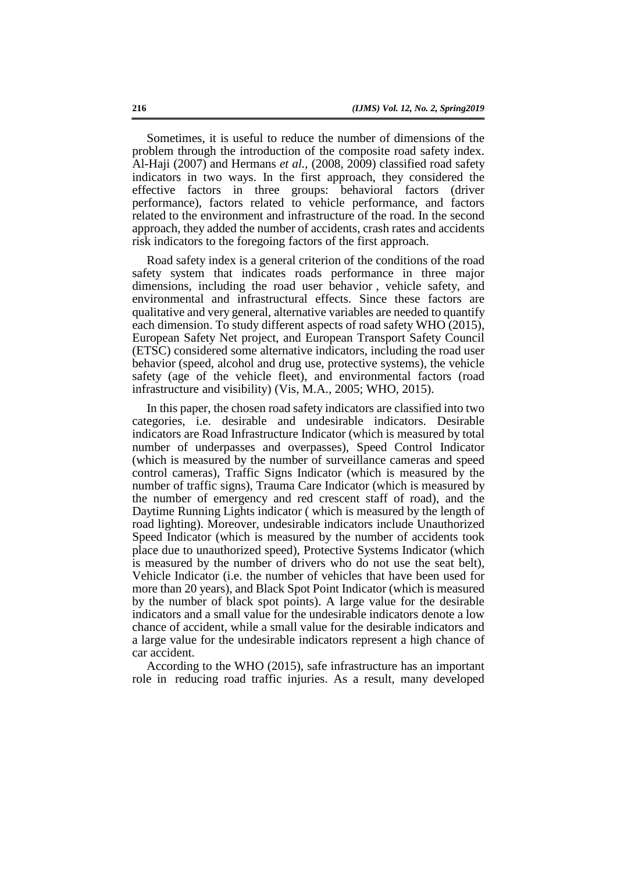Sometimes, it is useful to reduce the number of dimensions of the problem through the introduction of the composite road safety index. Al-Haji (2007) and Hermans *et al.*, (2008, 2009) classified road safety indicators in two ways. In the first approach, they considered the effective factors in three groups: behavioral factors (driver performance), factors related to vehicle performance, and factors related to the environment and infrastructure of the road. In the second approach, they added the number of accidents, crash rates and accidents risk indicators to the foregoing factors of the first approach.

Road safety index is a general criterion of the conditions of the road safety system that indicates roads performance in three major dimensions, including the road user behavior , vehicle safety, and environmental and infrastructural effects. Since these factors are qualitative and very general, alternative variables are needed to quantify each dimension. To study different aspects of road safety WHO (2015), European Safety Net project, and European Transport Safety Council (ETSC) considered some alternative indicators, including the road user behavior (speed, alcohol and drug use, protective systems), the vehicle safety (age of the vehicle fleet), and environmental factors (road infrastructure and visibility) (Vis, M.A., 2005; WHO, 2015).

In this paper, the chosen road safety indicators are classified into two categories, i.e. desirable and undesirable indicators. Desirable indicators are Road Infrastructure Indicator (which is measured by total number of underpasses and overpasses), Speed Control Indicator (which is measured by the number of surveillance cameras and speed control cameras), Traffic Signs Indicator (which is measured by the number of traffic signs), Trauma Care Indicator (which is measured by the number of emergency and red crescent staff of road), and the Daytime Running Lights indicator ( which is measured by the length of road lighting). Moreover, undesirable indicators include Unauthorized Speed Indicator (which is measured by the number of accidents took place due to unauthorized speed), Protective Systems Indicator (which is measured by the number of drivers who do not use the seat belt), Vehicle Indicator (i.e. the number of vehicles that have been used for more than 20 years), and Black Spot Point Indicator (which is measured by the number of black spot points). A large value for the desirable indicators and a small value for the undesirable indicators denote a low chance of accident, while a small value for the desirable indicators and a large value for the undesirable indicators represent a high chance of car accident.

According to the WHO (2015), safe infrastructure has an important role in reducing road traffic injuries. As a result, many developed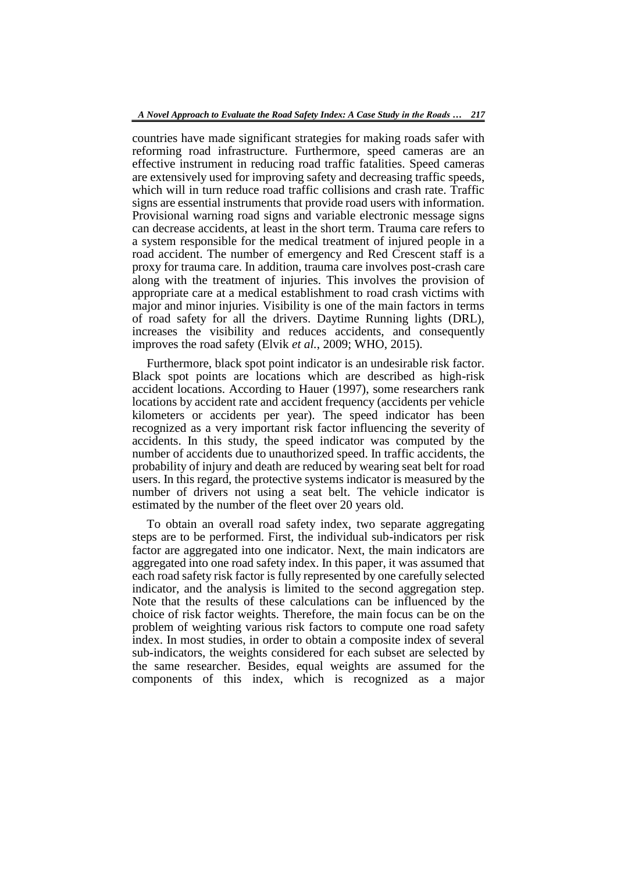countries have made significant strategies for making roads safer with reforming road infrastructure. Furthermore, speed cameras are an effective instrument in reducing road traffic fatalities. Speed cameras are extensively used for improving safety and decreasing traffic speeds, which will in turn reduce road traffic collisions and crash rate. Traffic signs are essential instruments that provide road users with information. Provisional warning road signs and variable electronic message signs can decrease accidents, at least in the short term. Trauma care refers to a system responsible for the medical treatment of injured people in a road accident. The number of emergency and Red Crescent staff is a proxy for trauma care. In addition, trauma care involves post-crash care along with the treatment of injuries. This involves the provision of appropriate care at a medical establishment to road crash victims with major and minor injuries. Visibility is one of the main factors in terms of road safety for all the drivers. Daytime Running lights (DRL), increases the visibility and reduces accidents, and consequently improves the road safety (Elvik *et al.*, 2009; WHO, 2015).

Furthermore, black spot point indicator is an undesirable risk factor. Black spot points are locations which are described as high-risk accident locations. According to Hauer (1997), some researchers rank locations by accident rate and accident frequency (accidents per vehicle kilometers or accidents per year). The speed indicator has been recognized as a very important risk factor influencing the severity of accidents. In this study, the speed indicator was computed by the number of accidents due to unauthorized speed. In traffic accidents, the probability of injury and death are reduced by wearing seat belt for road users. In this regard, the protective systems indicator is measured by the number of drivers not using a seat belt. The vehicle indicator is estimated by the number of the fleet over 20 years old.

To obtain an overall road safety index, two separate aggregating steps are to be performed. First, the individual sub-indicators per risk factor are aggregated into one indicator. Next, the main indicators are aggregated into one road safety index. In this paper, it was assumed that each road safety risk factor is fully represented by one carefully selected indicator, and the analysis is limited to the second aggregation step. Note that the results of these calculations can be influenced by the choice of risk factor weights. Therefore, the main focus can be on the problem of weighting various risk factors to compute one road safety index. In most studies, in order to obtain a composite index of several sub-indicators, the weights considered for each subset are selected by the same researcher. Besides, equal weights are assumed for the components of this index, which is recognized as a major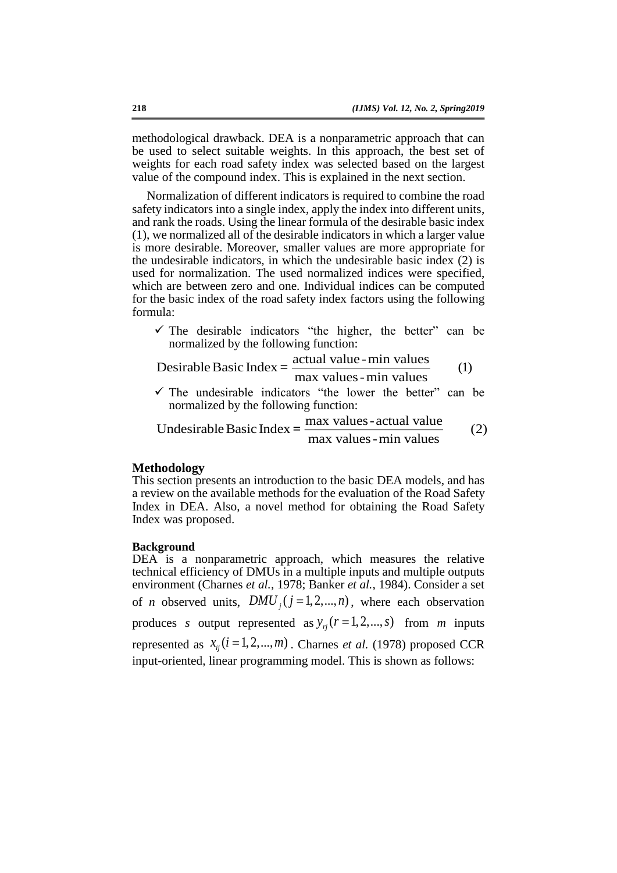methodological drawback. DEA is a nonparametric approach that can be used to select suitable weights. In this approach, the best set of weights for each road safety index was selected based on the largest value of the compound index. This is explained in the next section.

Normalization of different indicators is required to combine the road safety indicators into a single index, apply the index into different units, and rank the roads. Using the linear formula of the desirable basic index (1), we normalized all of the desirable indicators in which a larger value is more desirable. Moreover, smaller values are more appropriate for the undesirable indicators, in which the undesirable basic index (2) is used for normalization. The used normalized indices were specified, which are between zero and one. Individual indices can be computed for the basic index of the road safety index factors using the following formula:

 $\checkmark$  The desirable indicators "the higher, the better" can be normalized by the following function:

Desirable Basic Index = 
$$
\frac{\text{actual value - min values}}{\text{max values - min values}}
$$

\n(1)

normalized by the following function:

$$
\checkmark
$$
 The undesirable indicators "the lower the better" can be normalized by the following function:  
Undesirable Basic Index = 
$$
\frac{\text{max values - actual value}}{\text{max values - min values}}
$$
 (2)

#### **Methodology**

This section presents an introduction to the basic DEA models, and has a review on the available methods for the evaluation of the Road Safety Index in DEA. Also, a novel method for obtaining the Road Safety Index was proposed.

#### **Background**

DEA is a nonparametric approach, which measures the relative technical efficiency of DMUs in a multiple inputs and multiple outputs environment (Charnes *et al.*, 1978; Banker *et al.*, 1984). Consider a set of *n* observed units,  $DMU_j$  ( $j = 1, 2, ..., n$ ), where each observation produces *s* output represented as  $y_{ij}$  ( $r = 1, 2, ..., s$ ) from *m* inputs represented as  $x_{ij}$  ( $i = 1, 2, ..., m$ ). Charnes *et al.* (1978) proposed CCR input-oriented, linear programming model. This is shown as follows: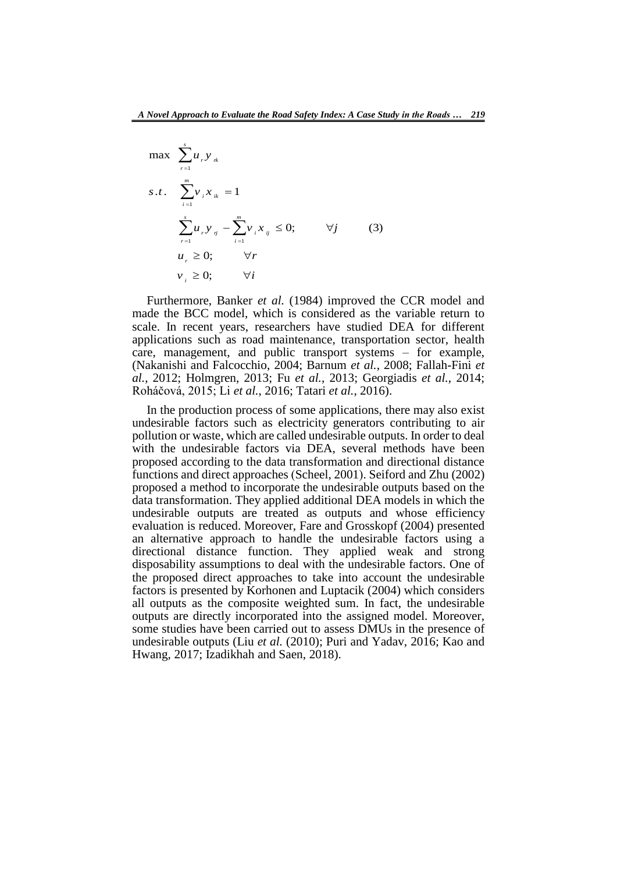$$
\max \sum_{r=1}^{s} u_r y_{rk}
$$
\n
$$
s.t. \sum_{i=1}^{m} v_i x_{ik} = 1
$$
\n
$$
\sum_{r=1}^{s} u_r y_{ij} - \sum_{i=1}^{m} v_i x_{ij} \le 0; \qquad \forall j \qquad (3)
$$
\n
$$
u_r \ge 0; \qquad \forall r
$$
\n
$$
v_i \ge 0; \qquad \forall i
$$

Furthermore, Banker *et al.* (1984) improved the CCR model and made the BCC model, which is considered as the variable return to scale. In recent years, researchers have studied DEA for different applications such as road maintenance, transportation sector, health care, management, and public transport systems – for example, (Nakanishi and Falcocchio, 2004; Barnum *et al.*, 2008; Fallah-Fini *et al.*, 2012; Holmgren, 2013; Fu *et al.*, 2013; Georgiadis *et al.*, 2014; Roháčová, 2015; Li *et al.*, 2016; Tatari *et al.*, 2016).

In the production process of some applications, there may also exist undesirable factors such as electricity generators contributing to air pollution or waste, which are called undesirable outputs. In order to deal with the undesirable factors via DEA, several methods have been proposed according to the data transformation and directional distance functions and direct approaches (Scheel, 2001). Seiford and Zhu (2002) proposed a method to incorporate the undesirable outputs based on the data transformation. They applied additional DEA models in which the undesirable outputs are treated as outputs and whose efficiency evaluation is reduced. Moreover, Fare and Grosskopf (2004) presented an alternative approach to handle the undesirable factors using a directional distance function. They applied weak and strong disposability assumptions to deal with the undesirable factors. One of the proposed direct approaches to take into account the undesirable factors is presented by Korhonen and Luptacik (2004) which considers all outputs as the composite weighted sum. In fact, the undesirable outputs are directly incorporated into the assigned model. Moreover, some studies have been carried out to assess DMUs in the presence of undesirable outputs (Liu *et al.* (2010); Puri and Yadav, 2016; Kao and Hwang, 2017; Izadikhah and Saen, 2018).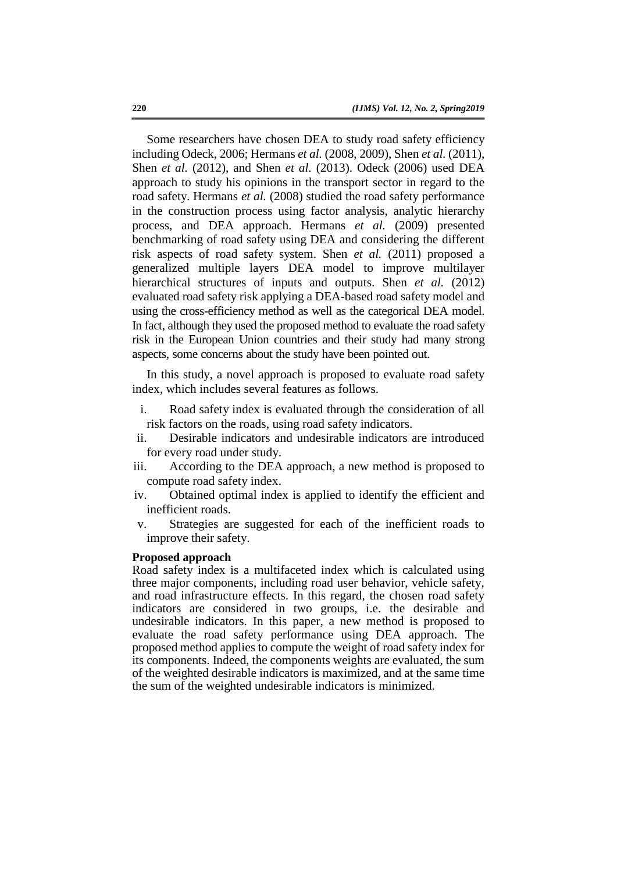Some researchers have chosen DEA to study road safety efficiency including Odeck, 2006; Hermans *et al.* (2008, 2009), Shen *et al.* (2011), Shen *et al.* (2012), and Shen *et al.* (2013). Odeck (2006) used DEA approach to study his opinions in the transport sector in regard to the road safety. Hermans *et al.* (2008) studied the road safety performance in the construction process using factor analysis, analytic hierarchy process, and DEA approach. Hermans *et al.* (2009) presented benchmarking of road safety using DEA and considering the different risk aspects of road safety system. Shen *et al.* (2011) proposed a generalized multiple layers DEA model to improve multilayer hierarchical structures of inputs and outputs. Shen *et al.* (2012) evaluated road safety risk applying a DEA-based road safety model and using the cross-efficiency method as well as the categorical DEA model. In fact, although they used the proposed method to evaluate the road safety risk in the European Union countries and their study had many strong aspects, some concerns about the study have been pointed out.

In this study, a novel approach is proposed to evaluate road safety index, which includes several features as follows.

- i. Road safety index is evaluated through the consideration of all risk factors on the roads, using road safety indicators.
- ii. Desirable indicators and undesirable indicators are introduced for every road under study.
- iii. According to the DEA approach, a new method is proposed to compute road safety index.
- iv. Obtained optimal index is applied to identify the efficient and inefficient roads.
- v. Strategies are suggested for each of the inefficient roads to improve their safety.

#### **Proposed approach**

Road safety index is a multifaceted index which is calculated using three major components, including road user behavior, vehicle safety, and road infrastructure effects. In this regard, the chosen road safety indicators are considered in two groups, i.e. the desirable and undesirable indicators. In this paper, a new method is proposed to evaluate the road safety performance using DEA approach. The proposed method applies to compute the weight of road safety index for its components. Indeed, the components weights are evaluated, the sum of the weighted desirable indicators is maximized, and at the same time the sum of the weighted undesirable indicators is minimized.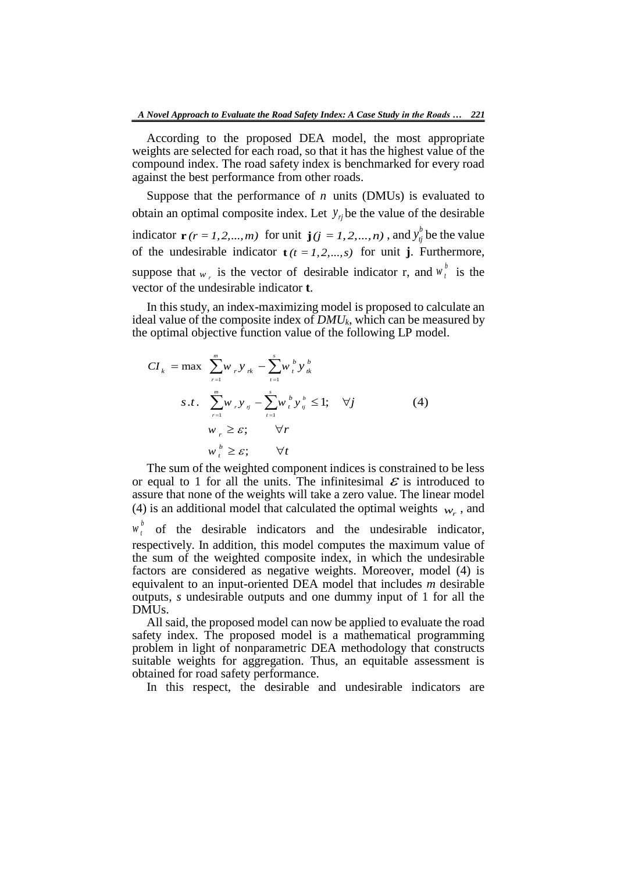According to the proposed DEA model, the most appropriate weights are selected for each road, so that it has the highest value of the compound index. The road safety index is benchmarked for every road against the best performance from other roads.

Suppose that the performance of *n* units (DMUs) is evaluated to obtain an optimal composite index. Let  $y_{ij}$  be the value of the desirable indicator  $\mathbf{r}$  ( $r = 1, 2, ..., m$ ) for unit  $\mathbf{j}$  ( $j = 1, 2, ..., n$ ), and  $y_{ij}^b$  be the value of the undesirable indicator  $\mathbf{t}$  *(t = 1, 2, ..., s)* for unit **j**. Furthermore, suppose that  $w_r$  is the vector of desirable indicator r, and  $w_t^b$  is the vector of the undesirable indicator **t**.

In this study, an index-maximizing model is proposed to calculate an ideal value of the composite index of *DMUk*, which can be measured by the optimal objective function value of the following LP model.

$$
CI_{k} = \max \sum_{r=1}^{m} w_{r} y_{rk} - \sum_{t=1}^{s} w_{t}^{b} y_{tk}^{b}
$$
  

$$
S.t. \sum_{r=1}^{m} w_{r} y_{rj} - \sum_{t=1}^{s} w_{t}^{b} y_{tj}^{b} \le 1; \quad \forall j
$$
  

$$
w_{r} \ge \varepsilon; \qquad \forall r
$$
  

$$
w_{t}^{b} \ge \varepsilon; \qquad \forall t
$$
 (4)

The sum of the weighted component indices is constrained to be less or equal to 1 for all the units. The infinitesimal  $\mathcal E$  is introduced to assure that none of the weights will take a zero value. The linear model (4) is an additional model that calculated the optimal weights  $w_r$ , and

 $w_t^b$  of the desirable indicators and the undesirable indicator, respectively. In addition, this model computes the maximum value of the sum of the weighted composite index, in which the undesirable factors are considered as negative weights. Moreover, model (4) is equivalent to an input-oriented DEA model that includes *m* desirable outputs, *s* undesirable outputs and one dummy input of 1 for all the DMUs.

All said, the proposed model can now be applied to evaluate the road safety index. The proposed model is a mathematical programming problem in light of nonparametric DEA methodology that constructs suitable weights for aggregation. Thus, an equitable assessment is obtained for road safety performance.

In this respect, the desirable and undesirable indicators are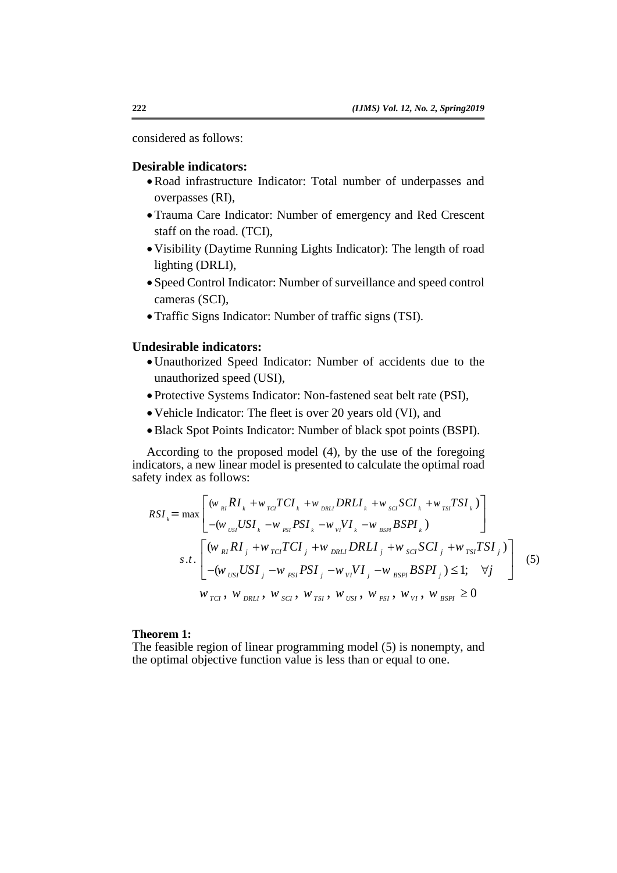considered as follows:

## **Desirable indicators:**

- Road infrastructure Indicator: Total number of underpasses and overpasses (RI),
- Trauma Care Indicator: Number of emergency and Red Crescent staff on the road. (TCI),
- Visibility (Daytime Running Lights Indicator): The length of road lighting (DRLI),
- Speed Control Indicator: Number of surveillance and speed control cameras (SCI),
- Traffic Signs Indicator: Number of traffic signs (TSI).

# **Undesirable indicators:**

- Unauthorized Speed Indicator: Number of accidents due to the unauthorized speed (USI),
- Protective Systems Indicator: Non-fastened seat belt rate (PSI),
- Vehicle Indicator: The fleet is over 20 years old (VI), and
- Black Spot Points Indicator: Number of black spot points (BSPI).

According to the proposed model (4), by the use of the foregoing indicators, a new linear model is presented to calculate the optimal road safety index as follows:

$$
RSI_{k} = \max \left[ \begin{array}{c} (w_{_{RI}}RI_{_{k}} + w_{_{TCI}}TCI_{_{k}} + w_{_{DRLI}}DRLI_{_{k}} + w_{_{SCI}}SCI_{_{k}} + w_{_{TSI}}TSI_{_{k}}) \\ - (w_{_{USI}}USI_{_{k}} - w_{_{PSI}}PSI_{_{k}} - w_{_{VI}}VI_{_{k}} - w_{_{BSPI}}BSPI_{_{k}}) \end{array} \right]
$$
  
s.t. 
$$
\left[ \begin{array}{c} (w_{_{RI}}RI_{_{j}} + w_{_{TCI}}TCI_{_{j}} + w_{_{DRLI}}DRLI_{_{j}} + w_{_{SCI}}SCI_{_{j}} + w_{_{TSI}}TSI_{_{j}}) \\ - (w_{_{USI}}USI_{_{j}} - w_{_{PSI}}PSI_{_{j}} - w_{_{VI}}VI_{_{j}} - w_{_{BSPI}}BSPI_{_{j}}) \le 1; \quad \forall j \\ w_{_{TCI}}, \ w_{_{DRLI}}, \ w_{_{SCI}}, \ w_{_{TSI}}, \ w_{_{USI}}, \ w_{_{PSI}}, \ w_{_{VI}}, \ w_{_{BSPI}} \ge 0 \end{array} \right] \tag{5}
$$

## **Theorem 1:**

The feasible region of linear programming model (5) is nonempty, and the optimal objective function value is less than or equal to one.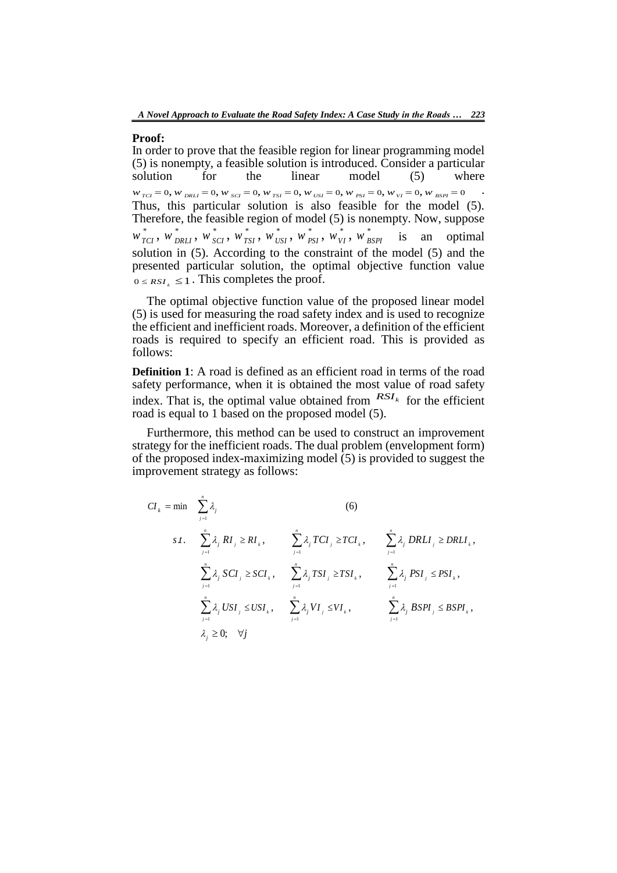#### **Proof:**

In order to prove that the feasible region for linear programming model (5) is nonempty, a feasible solution is introduced. Consider a particular solution for the linear model (5) where solution for the linear model (5) where In order to prove that the feasible region for linear programming model<br>
(5) is nonempty, a feasible solution is introduced. Consider a particular<br>
solution for the linear model (5) where<br>  $w_{rcI} = 0$ ,  $w_{DRLI} = 0$ ,  $w_{\text{S$ Thus, this particular solution is also feasible for the model (5). Therefore, the feasible region of model (5) is nonempty. Now, suppose example region of model (5) is not<br> $\sum_{n=1}^{\infty} w_n^*$  .  $\sum_{n=1}^{\infty} w_n^*$   $\sum_{n=1}^{\infty} w_n^*$   $\sum_{n=1}^{\infty} w_n^*$   $\sum_{n=1}^{\infty} w_n^*$ Thus, this particular solution is also feasible for the model (5).<br>Therefore, the feasible region of model (5) is nonempty. Now, suppose  $w_{TCI}^*$ ,  $w_{DRLI}^*$ ,  $w_{SGI}^*$ ,  $w_{TSI}^*$ ,  $w_{TSI}^*$ ,  $w_{PSI}^*$ ,  $w_{VI}^*$ ,  $w_{BSPI}^$ solution in (5). According to the constraint of the model (5) and the presented particular solution, the optimal objective function value  $0 \leq RSI_k \leq 1$ . This completes the proof.

The optimal objective function value of the proposed linear model (5) is used for measuring the road safety index and is used to recognize the efficient and inefficient roads. Moreover, a definition of the efficient roads is required to specify an efficient road. This is provided as follows:

**Definition 1**: A road is defined as an efficient road in terms of the road safety performance, when it is obtained the most value of road safety index. That is, the optimal value obtained from  $RST_k$  for the efficient road is equal to 1 based on the proposed model (5).

Furthermore, this method can be used to construct an improvement strategy for the inefficient roads. The dual problem (envelopment form) of the proposed index-maximizing model (5) is provided to suggest the improvement strategy as follows:

$$
CI_{k} = \min \sum_{j=1}^{n} \lambda_{j}
$$
\n
$$
s.t. \sum_{j=1}^{n} \lambda_{j} RI_{j} \ge RI_{k}, \sum_{j=1}^{n} \lambda_{j} TCI_{j} \ge TCI_{k}, \sum_{j=1}^{n} \lambda_{j} DRLI_{j} \ge DRLI_{k},
$$
\n
$$
\sum_{j=1}^{n} \lambda_{j} SCI_{j} \ge SCI_{k}, \sum_{j=1}^{n} \lambda_{j} TSI_{j} \ge TSI_{k}, \sum_{j=1}^{n} \lambda_{j} PSI_{j} \le PSI_{k},
$$
\n
$$
\sum_{j=1}^{n} \lambda_{j} USI_{j} \le USI_{k}, \sum_{j=1}^{n} \lambda_{j} VI_{j} \le VI_{k}, \sum_{j=1}^{n} \lambda_{j} BSPI_{j} \le BSPI_{k},
$$
\n
$$
\lambda_{j} \ge 0; \forall j
$$
\n(6)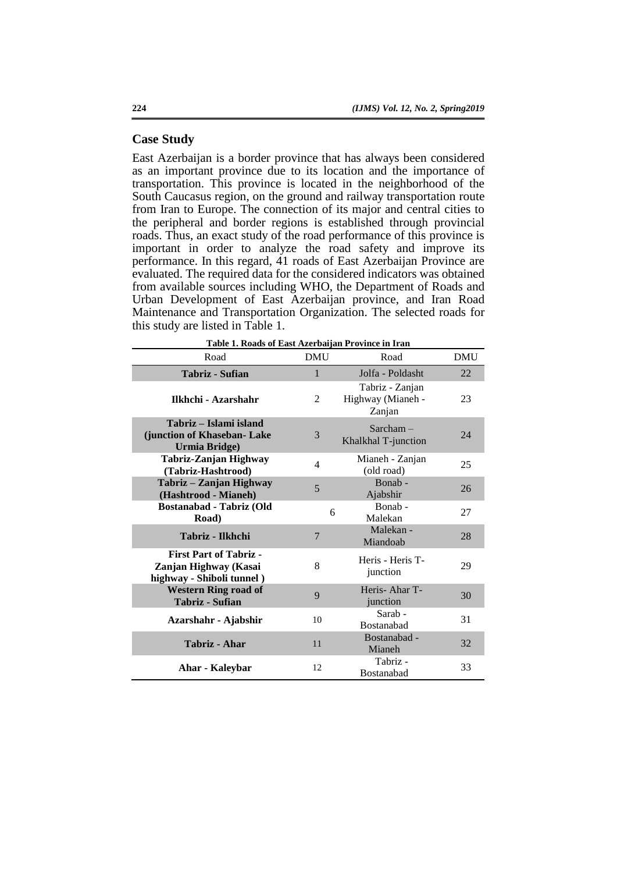## **Case Study**

East Azerbaijan is a border province that has always been considered as an important province due to its location and the importance of transportation. This province is located in the neighborhood of the South Caucasus region, on the ground and railway transportation route from Iran to Europe. The connection of its major and central cities to the peripheral and border regions is established through provincial roads. Thus, an exact study of the road performance of this province is important in order to analyze the road safety and improve its performance. In this regard, 41 roads of East Azerbaijan Province are evaluated. The required data for the considered indicators was obtained from available sources including WHO, the Department of Roads and Urban Development of East Azerbaijan province, and Iran Road Maintenance and Transportation Organization. The selected roads for this study are listed in Table 1.

| Table 1. Roads of East Azerbaijan Province in Iran                                  |            |                                                |            |  |  |  |  |  |  |  |
|-------------------------------------------------------------------------------------|------------|------------------------------------------------|------------|--|--|--|--|--|--|--|
| Road                                                                                | <b>DMU</b> | Road                                           | <b>DMU</b> |  |  |  |  |  |  |  |
| <b>Tabriz - Sufian</b>                                                              | 1          | Jolfa - Poldasht                               | 22         |  |  |  |  |  |  |  |
| Ilkhchi - Azarshahr                                                                 | 2          | Tabriz - Zanjan<br>Highway (Mianeh -<br>Zanjan | 23         |  |  |  |  |  |  |  |
| Tabriz – Islami island<br>(junction of Khaseban- Lake<br>Urmia Bridge)              | 3          | $Sarcham -$<br>Khalkhal T-junction             | 24         |  |  |  |  |  |  |  |
| Tabriz-Zanjan Highway<br>(Tabriz-Hashtrood)                                         | 4          | Mianeh - Zanjan<br>(old road)                  | 25         |  |  |  |  |  |  |  |
| Tabriz - Zanjan Highway<br>(Hashtrood - Mianeh)                                     | 5          | Bonab-<br>Ajabshir                             | 26         |  |  |  |  |  |  |  |
| Bostanabad - Tabriz (Old<br>Road)                                                   | 6          | Bonab-<br>Malekan                              | 27         |  |  |  |  |  |  |  |
| Tabriz - Ilkhchi                                                                    | 7          | Malekan -<br>Miandoab                          | 28         |  |  |  |  |  |  |  |
| <b>First Part of Tabriz -</b><br>Zanjan Highway (Kasai<br>highway - Shiboli tunnel) | 8          | Heris - Heris T-<br>junction                   | 29         |  |  |  |  |  |  |  |
| <b>Western Ring road of</b><br><b>Tabriz - Sufian</b>                               | 9          | Heris-Ahar T-<br>junction                      | 30         |  |  |  |  |  |  |  |
| Azarshahr - Ajabshir                                                                | 10         | Sarab -<br><b>Bostanabad</b>                   | 31         |  |  |  |  |  |  |  |
| Tabriz - Ahar                                                                       | 11         | Bostanabad -<br>Mianeh                         | 32         |  |  |  |  |  |  |  |
| Ahar - Kaleybar                                                                     | 12         | Tabriz -<br>Bostanabad                         | 33         |  |  |  |  |  |  |  |

**Table 1. Roads of East Azerbaijan Province in Iran**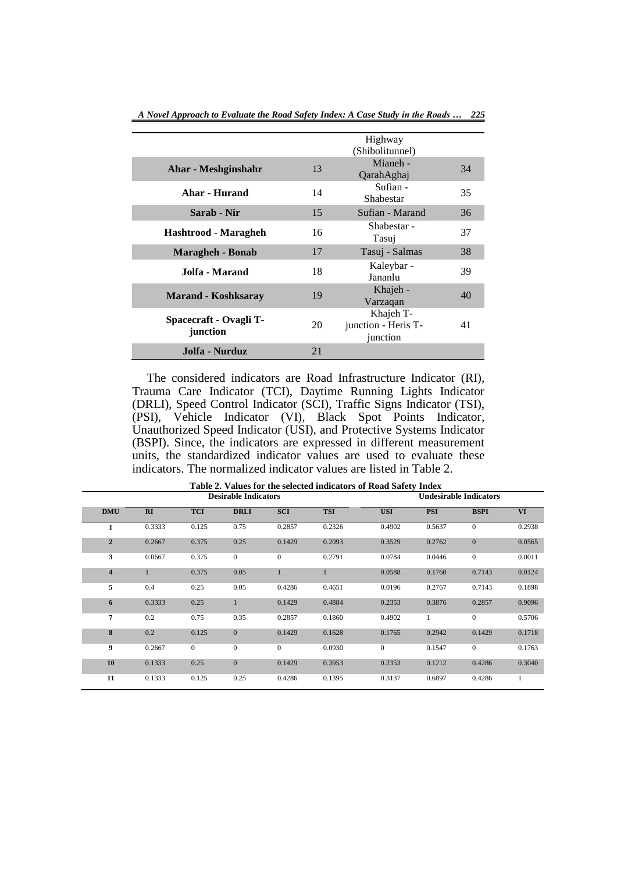|                                    |    | Highway<br>(Shibolitunnel)                   |    |
|------------------------------------|----|----------------------------------------------|----|
| Ahar - Meshginshahr                | 13 | Mianeh -<br>QarahAghaj                       | 34 |
| Ahar - Hurand                      | 14 | Sufian -<br>Shabestar                        | 35 |
| Sarab - Nir                        | 15 | Sufian - Marand                              | 36 |
| Hashtrood - Maragheh               | 16 | Shabestar -<br>Tasuj                         | 37 |
| <b>Maragheh - Bonab</b>            | 17 | Tasuj - Salmas                               | 38 |
| Jolfa - Marand                     | 18 | Kaleybar -<br>Jananlu                        | 39 |
| <b>Marand - Koshksaray</b>         | 19 | Khajeh -<br>Varzaqan                         | 40 |
| Spacecraft - Ovagli T-<br>junction | 20 | Khajeh T-<br>junction - Heris T-<br>junction | 41 |
| Jolfa - Nurduz                     | 21 |                                              |    |

*A Novel Approach to Evaluate the Road Safety Index: A Case Study in the Roads … 225*

The considered indicators are Road Infrastructure Indicator (RI), Trauma Care Indicator (TCI), Daytime Running Lights Indicator (DRLI), Speed Control Indicator (SCI), Traffic Signs Indicator (TSI), (PSI), Vehicle Indicator (VI), Black Spot Points Indicator, Unauthorized Speed Indicator (USI), and Protective Systems Indicator (BSPI). Since, the indicators are expressed in different measurement units, the standardized indicator values are used to evaluate these indicators. The normalized indicator values are listed in Table 2.

|                         |        |                | <b>Desirable Indicators</b> |                | <b>Undesirable Indicators</b> |              |            |              |        |  |
|-------------------------|--------|----------------|-----------------------------|----------------|-------------------------------|--------------|------------|--------------|--------|--|
| <b>DMU</b>              | RI     | <b>TCI</b>     | <b>DRLI</b>                 | <b>SCI</b>     | <b>TSI</b>                    | <b>USI</b>   | <b>PSI</b> | <b>BSPI</b>  | VI     |  |
| 1                       | 0.3333 | 0.125          | 0.75                        | 0.2857         | 0.2326                        | 0.4902       | 0.5637     | $\mathbf{0}$ | 0.2938 |  |
| $\overline{2}$          | 0.2667 | 0.375          | 0.25                        | 0.1429         | 0.2093                        | 0.3529       | 0.2762     | $\mathbf{0}$ | 0.0565 |  |
| 3                       | 0.0667 | 0.375          | $\overline{0}$              | $\overline{0}$ | 0.2791                        | 0.0784       | 0.0446     | $\mathbf{0}$ | 0.0011 |  |
| $\overline{\mathbf{4}}$ | 1      | 0.375          | 0.05                        | $\mathbf{1}$   |                               | 0.0588       | 0.1760     | 0.7143       | 0.0124 |  |
| 5                       | 0.4    | 0.25           | 0.05                        | 0.4286         | 0.4651                        | 0.0196       | 0.2767     | 0.7143       | 0.1898 |  |
| 6                       | 0.3333 | 0.25           |                             | 0.1429         | 0.4884                        | 0.2353       | 0.3876     | 0.2857       | 0.9096 |  |
| 7                       | 0.2    | 0.75           | 0.35                        | 0.2857         | 0.1860                        | 0.4902       | 1          | $\mathbf{0}$ | 0.5706 |  |
| 8                       | 0.2    | 0.125          | $\overline{0}$              | 0.1429         | 0.1628                        | 0.1765       | 0.2942     | 0.1429       | 0.1718 |  |
| 9                       | 0.2667 | $\overline{0}$ | $\mathbf{0}$                | $\overline{0}$ | 0.0930                        | $\mathbf{0}$ | 0.1547     | $\mathbf{0}$ | 0.1763 |  |
| 10                      | 0.1333 | 0.25           | $\mathbf{0}$                | 0.1429         | 0.3953                        | 0.2353       | 0.1212     | 0.4286       | 0.3040 |  |
| 11                      | 0.1333 | 0.125          | 0.25                        | 0.4286         | 0.1395                        | 0.3137       | 0.6897     | 0.4286       | 1      |  |

**Table 2. Values for the selected indicators of Road Safety Index**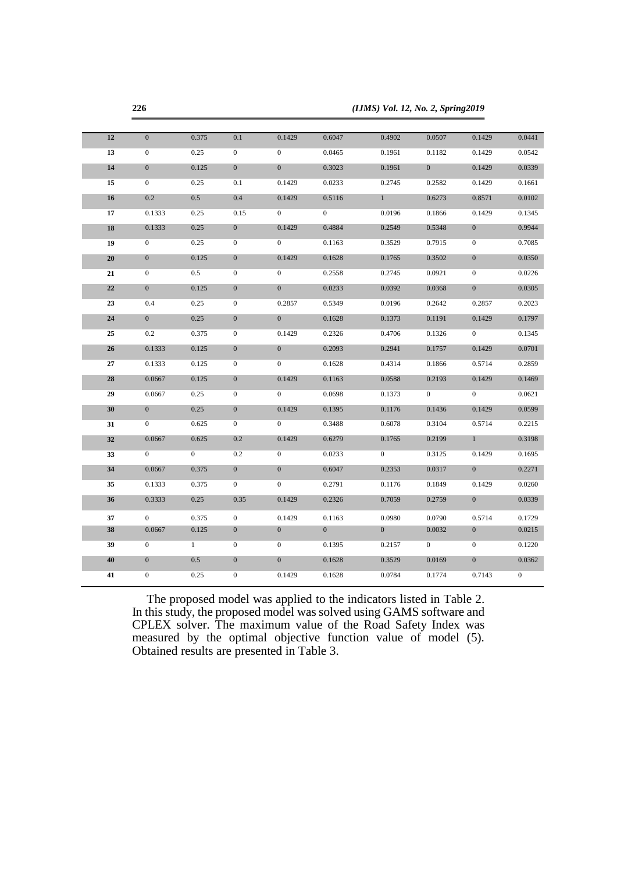|        | 226              |                |                  | (IJMS) Vol. 12, No. 2, Spring2019 |                |              |                |                  |                  |  |  |  |
|--------|------------------|----------------|------------------|-----------------------------------|----------------|--------------|----------------|------------------|------------------|--|--|--|
|        |                  |                |                  |                                   |                |              |                |                  |                  |  |  |  |
| 12     | $\boldsymbol{0}$ | 0.375          | 0.1              | 0.1429                            | 0.6047         | 0.4902       | 0.0507         | 0.1429           | 0.0441           |  |  |  |
| 13     | $\boldsymbol{0}$ | 0.25           | $\boldsymbol{0}$ | $\overline{0}$                    | 0.0465         | 0.1961       | 0.1182         | 0.1429           | 0.0542           |  |  |  |
| 14     | $\boldsymbol{0}$ | 0.125          | $\mathbf{0}$     | $\overline{0}$                    | 0.3023         | 0.1961       | $\overline{0}$ | 0.1429           | 0.0339           |  |  |  |
| 15     | $\boldsymbol{0}$ | 0.25           | 0.1              | 0.1429                            | 0.0233         | 0.2745       | 0.2582         | 0.1429           | 0.1661           |  |  |  |
| 16     | 0.2              | 0.5            | 0.4              | 0.1429                            | 0.5116         | $\mathbf{1}$ | 0.6273         | 0.8571           | 0.0102           |  |  |  |
| 17     | 0.1333           | 0.25           | 0.15             | $\boldsymbol{0}$                  | $\overline{0}$ | 0.0196       | 0.1866         | 0.1429           | 0.1345           |  |  |  |
| 18     | 0.1333           | 0.25           | $\mathbf{0}$     | 0.1429                            | 0.4884         | 0.2549       | 0.5348         | $\mathbf{0}$     | 0.9944           |  |  |  |
| 19     | $\mathbf{0}$     | 0.25           | $\mathbf{0}$     | $\overline{0}$                    | 0.1163         | 0.3529       | 0.7915         | $\mathbf{0}$     | 0.7085           |  |  |  |
| $20\,$ | $\boldsymbol{0}$ | 0.125          | $\boldsymbol{0}$ | 0.1429                            | 0.1628         | 0.1765       | 0.3502         | $\mathbf{0}$     | 0.0350           |  |  |  |
| 21     | $\boldsymbol{0}$ | 0.5            | $\boldsymbol{0}$ | $\boldsymbol{0}$                  | 0.2558         | 0.2745       | 0.0921         | $\mathbf{0}$     | 0.0226           |  |  |  |
| 22     | $\boldsymbol{0}$ | 0.125          | $\boldsymbol{0}$ | $\overline{0}$                    | 0.0233         | 0.0392       | 0.0368         | $\boldsymbol{0}$ | 0.0305           |  |  |  |
| 23     | 0.4              | 0.25           | $\boldsymbol{0}$ | 0.2857                            | 0.5349         | 0.0196       | 0.2642         | 0.2857           | 0.2023           |  |  |  |
| 24     | $\mathbf{0}$     | 0.25           | $\mathbf{0}$     | $\overline{0}$                    | 0.1628         | 0.1373       | 0.1191         | 0.1429           | 0.1797           |  |  |  |
| 25     | 0.2              | 0.375          | $\boldsymbol{0}$ | 0.1429                            | 0.2326         | 0.4706       | 0.1326         | $\mathbf{0}$     | 0.1345           |  |  |  |
| 26     | 0.1333           | 0.125          | $\boldsymbol{0}$ | $\boldsymbol{0}$                  | 0.2093         | 0.2941       | 0.1757         | 0.1429           | 0.0701           |  |  |  |
| 27     | 0.1333           | 0.125          | $\boldsymbol{0}$ | $\overline{0}$                    | 0.1628         | 0.4314       | 0.1866         | 0.5714           | 0.2859           |  |  |  |
| 28     | 0.0667           | 0.125          | $\boldsymbol{0}$ | 0.1429                            | 0.1163         | 0.0588       | 0.2193         | 0.1429           | 0.1469           |  |  |  |
| 29     | 0.0667           | 0.25           | $\boldsymbol{0}$ | $\overline{0}$                    | 0.0698         | 0.1373       | $\overline{0}$ | $\overline{0}$   | 0.0621           |  |  |  |
| 30     | $\boldsymbol{0}$ | 0.25           | $\boldsymbol{0}$ | 0.1429                            | 0.1395         | 0.1176       | 0.1436         | 0.1429           | 0.0599           |  |  |  |
| 31     | $\mathbf{0}$     | 0.625          | $\mathbf{0}$     | $\overline{0}$                    | 0.3488         | 0.6078       | 0.3104         | 0.5714           | 0.2215           |  |  |  |
| 32     | 0.0667           | 0.625          | 0.2              | 0.1429                            | 0.6279         | 0.1765       | 0.2199         | $\mathbf{1}$     | 0.3198           |  |  |  |
| 33     | $\mathbf{0}$     | $\overline{0}$ | 0.2              | $\boldsymbol{0}$                  | 0.0233         | $\mathbf{0}$ | 0.3125         | 0.1429           | 0.1695           |  |  |  |
| 34     | 0.0667           | 0.375          | $\boldsymbol{0}$ | $\mathbf{0}$                      | 0.6047         | 0.2353       | 0.0317         | $\overline{0}$   | 0.2271           |  |  |  |
| 35     | 0.1333           | 0.375          | $\boldsymbol{0}$ | $\boldsymbol{0}$                  | 0.2791         | 0.1176       | 0.1849         | 0.1429           | 0.0260           |  |  |  |
| 36     | 0.3333           | 0.25           | 0.35             | 0.1429                            | 0.2326         | 0.7059       | 0.2759         | $\overline{0}$   | 0.0339           |  |  |  |
| 37     | $\overline{0}$   | 0.375          | $\boldsymbol{0}$ | 0.1429                            | 0.1163         | 0.0980       | 0.0790         | 0.5714           | 0.1729           |  |  |  |
| 38     | 0.0667           | 0.125          | $\mathbf{0}$     | $\overline{0}$                    | $\overline{0}$ | $\mathbf{0}$ | 0.0032         | $\mathbf{0}$     | 0.0215           |  |  |  |
| 39     | $\boldsymbol{0}$ | $\mathbf{1}$   | $\boldsymbol{0}$ | $\boldsymbol{0}$                  | 0.1395         | 0.2157       | $\overline{0}$ | $\mathbf{0}$     | 0.1220           |  |  |  |
| 40     | $\boldsymbol{0}$ | 0.5            | $\boldsymbol{0}$ | $\boldsymbol{0}$                  | 0.1628         | 0.3529       | 0.0169         | $\boldsymbol{0}$ | 0.0362           |  |  |  |
| 41     | $\boldsymbol{0}$ | 0.25           | $\boldsymbol{0}$ | 0.1429                            | 0.1628         | 0.0784       | 0.1774         | 0.7143           | $\boldsymbol{0}$ |  |  |  |
|        |                  |                |                  |                                   |                |              |                |                  |                  |  |  |  |

The proposed model was applied to the indicators listed in Table 2. In this study, the proposed model was solved using GAMS software and CPLEX solver. The maximum value of the Road Safety Index was measured by the optimal objective function value of model (5). Obtained results are presented in Table 3.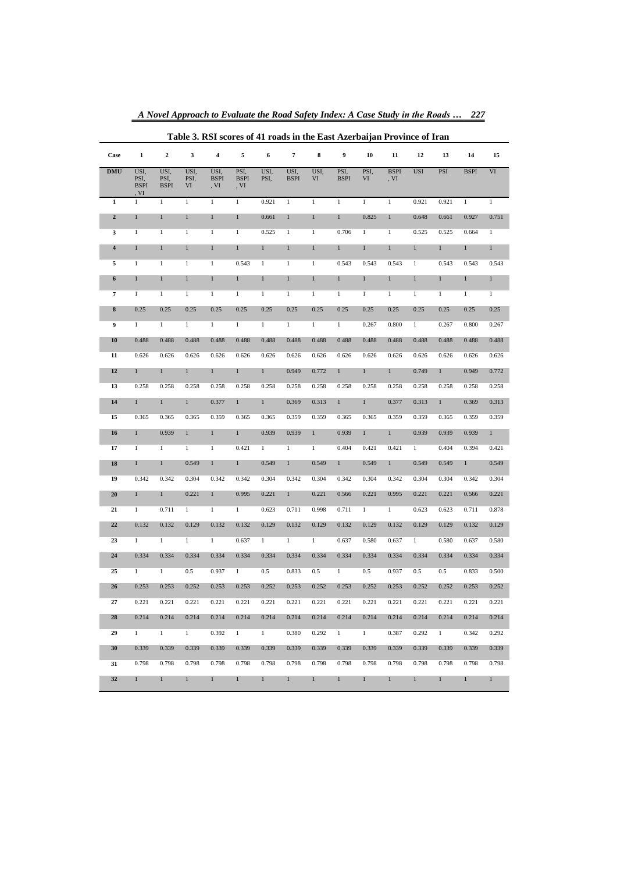| Table 3. RSI scores of 41 roads in the East Azerbaijan Province of Iran |                                     |                             |                    |                             |                             |              |                     |              |                     |              |                     |              |              |              |              |
|-------------------------------------------------------------------------|-------------------------------------|-----------------------------|--------------------|-----------------------------|-----------------------------|--------------|---------------------|--------------|---------------------|--------------|---------------------|--------------|--------------|--------------|--------------|
| Case                                                                    | $\mathbf{1}$                        | $\mathbf 2$                 | 3                  | 4                           | 5                           | 6            | 7                   | 8            | 9                   | 10           | 11                  | 12           | 13           | 14           | 15           |
| <b>DMU</b>                                                              | USI,<br>PSI,<br><b>BSPI</b><br>, VI | USI,<br>PSI,<br><b>BSPI</b> | USI,<br>PSI,<br>VI | USI,<br><b>BSPI</b><br>, VI | PSI,<br><b>BSPI</b><br>, VI | USI,<br>PSI, | USI,<br><b>BSPI</b> | USI,<br>VI   | PSI,<br><b>BSPI</b> | PSI,<br>VI   | <b>BSPI</b><br>, VI | <b>USI</b>   | PSI          | <b>BSPI</b>  | $\mbox{VI}$  |
| $\mathbf{1}$                                                            | $\mathbf{1}$                        | $\mathbf{1}$                | $\mathbf{1}$       | $\mathbf{1}$                | $\mathbf{1}$                | 0.921        | $1\,$               | $\mathbf{1}$ | $\mathbf{1}$        | $\mathbf{1}$ | $\mathbf{1}$        | 0.921        | 0.921        | $\mathbf{1}$ | $\mathbf{1}$ |
| $\mathbf 2$                                                             | $\,1$                               | $\,1$                       | $\mathbf{1}$       | $\,1$                       | $\mathbf{1}$                | 0.661        | $\mathbf{1}$        | $\,1$        | $\mathbf{1}$        | 0.825        | $\mathbf{1}$        | 0.648        | 0.661        | 0.927        | 0.751        |
| 3                                                                       | $\,1$                               | $1\,$                       | $\mathbf{1}$       | $\mathbf{1}$                | $\mathbf{1}$                | 0.525        | $\mathbf{1}$        | $\mathbf{1}$ | 0.706               | $\mathbf{1}$ | $\mathbf{1}$        | 0.525        | 0.525        | 0.664        | $\mathbf{1}$ |
| $\overline{\mathbf{4}}$                                                 | $1\,$                               | $\mathbf{1}$                | $\,1$              | $\mathbf{1}$                | $\,1$                       | $\mathbf{1}$ | $\mathbf{1}$        | $\,1$        | $\,1$               | $\,1$        | $\mathbf{1}$        | $1\,$        | $\mathbf{1}$ | $\,1$        | $\,1$        |
| 5                                                                       | $\,1$                               | $1\,$                       | $\mathbf{1}$       | $\mathbf{1}$                | 0.543                       | $\mathbf{1}$ | $\mathbf{1}$        | $\mathbf{1}$ | 0.543               | 0.543        | 0.543               | $\mathbf{1}$ | 0.543        | 0.543        | 0.543        |
| 6                                                                       | $\mathbf{1}$                        | $\,1$                       | $\,1$              | $\mathbf{1}$                | $\mathbf{1}$                | $\mathbf{1}$ | $\,1$               | $\,1$        | $\mathbf{1}$        | $\mathbf{1}$ | $\mathbf{1}$        | $1\,$        | $\mathbf{1}$ | $\,1$        | $\mathbf{1}$ |
| $\overline{7}$                                                          | $1\,$                               | $\mathbf{1}$                | $\mathbf{1}$       | $\mathbf{1}$                | $\mathbf{1}$                | $\mathbf{1}$ | $\mathbf{1}$        | $\mathbf{1}$ | $\mathbf{1}$        | $\mathbf{1}$ | $\mathbf{1}$        | $\mathbf{1}$ | $\mathbf{1}$ | $\mathbf{1}$ | $\mathbf{1}$ |
| 8                                                                       | 0.25                                | 0.25                        | 0.25               | 0.25                        | 0.25                        | 0.25         | 0.25                | 0.25         | 0.25                | 0.25         | 0.25                | 0.25         | 0.25         | 0.25         | 0.25         |
| 9                                                                       | $\mathbf{1}$                        | $\mathbf{1}$                | $\mathbf{1}$       | $\mathbf{1}$                | $\mathbf{1}$                | $\mathbf{1}$ | $\mathbf{1}$        | $\mathbf{1}$ | $\mathbf{1}$        | 0.267        | 0.800               | $\mathbf{1}$ | 0.267        | 0.800        | 0.267        |
| 10                                                                      | 0.488                               | 0.488                       | 0.488              | 0.488                       | 0.488                       | 0.488        | 0.488               | 0.488        | 0.488               | 0.488        | 0.488               | 0.488        | 0.488        | 0.488        | 0.488        |
| 11                                                                      | 0.626                               | 0.626                       | 0.626              | 0.626                       | 0.626                       | 0.626        | 0.626               | 0.626        | 0.626               | 0.626        | 0.626               | 0.626        | 0.626        | 0.626        | 0.626        |
| 12                                                                      | $\mathbf{1}$                        | $\mathbf{1}$                | $\mathbf{1}$       | $\mathbf{1}$                | $\mathbf{1}$                | $\mathbf{1}$ | 0.949               | 0.772        | $\mathbf{1}$        | $\mathbf{1}$ | $\mathbf{1}$        | 0.749        | $\mathbf{1}$ | 0.949        | 0.772        |
| 13                                                                      | 0.258                               | 0.258                       | 0.258              | 0.258                       | 0.258                       | 0.258        | 0.258               | 0.258        | 0.258               | 0.258        | 0.258               | 0.258        | 0.258        | 0.258        | 0.258        |
| 14                                                                      | $\mathbf{1}$                        | $\mathbf{1}$                | $\mathbf{1}$       | 0.377                       | $\mathbf{1}$                | $\mathbf{1}$ | 0.369               | 0.313        | $\mathbf{1}$        | $\mathbf{1}$ | 0.377               | 0.313        | $\mathbf{1}$ | 0.369        | 0.313        |
| 15                                                                      | 0.365                               | 0.365                       | 0.365              | 0.359                       | 0.365                       | 0.365        | 0.359               | 0.359        | 0.365               | 0.365        | 0.359               | 0.359        | 0.365        | 0.359        | 0.359        |
| 16                                                                      | $\mathbf{1}$                        | 0.939                       | $\mathbf{1}$       | $\mathbf{1}$                | $\mathbf{1}$                | 0.939        | 0.939               | $\mathbf{1}$ | 0.939               | $\mathbf{1}$ | $\mathbf{1}$        | 0.939        | 0.939        | 0.939        | $\mathbf{1}$ |
| 17                                                                      | $\mathbf{1}$                        | $\mathbf{1}$                | $\mathbf{1}$       | $\mathbf{1}$                | 0.421                       | $\mathbf{1}$ | $\mathbf{1}$        | $\mathbf{1}$ | 0.404               | 0.421        | 0.421               | $\mathbf{1}$ | 0.404        | 0.394        | 0.421        |
| 18                                                                      | $\mathbf{1}$                        | $\mathbf{1}$                | 0.549              | $\mathbf{1}$                | $\mathbf{1}$                | 0.549        | $\mathbf{1}$        | 0.549        | $\mathbf{1}$        | 0.549        | $\mathbf{1}$        | 0.549        | 0.549        | $\mathbf{1}$ | 0.549        |
| 19                                                                      | 0.342                               | 0.342                       | 0.304              | 0.342                       | 0.342                       | 0.304        | 0.342               | 0.304        | 0.342               | 0.304        | 0.342               | 0.304        | 0.304        | 0.342        | 0.304        |
| 20                                                                      | $\mathbf{1}$                        | $\mathbf{1}$                | 0.221              | $\mathbf{1}$                | 0.995                       | 0.221        | $\mathbf{1}$        | 0.221        | 0.566               | 0.221        | 0.995               | 0.221        | 0.221        | 0.566        | 0.221        |
| 21                                                                      | $\mathbf{1}$                        | 0.711                       | $\mathbf{1}$       | $\mathbf{1}$                | $\mathbf{1}$                | 0.623        | 0.711               | 0.998        | 0.711               | $\mathbf{1}$ | $\mathbf{1}$        | 0.623        | 0.623        | 0.711        | 0.878        |
| 22                                                                      | 0.132                               | 0.132                       | 0.129              | 0.132                       | 0.132                       | 0.129        | 0.132               | 0.129        | 0.132               | 0.129        | 0.132               | 0.129        | 0.129        | 0.132        | 0.129        |
| 23                                                                      | $\mathbf{1}$                        | $\mathbf{1}$                | $\mathbf{1}$       | $\mathbf{1}$                | 0.637                       | $\mathbf{1}$ | $\mathbf{1}$        | $\mathbf{1}$ | 0.637               | 0.580        | 0.637               | $\mathbf{1}$ | 0.580        | 0.637        | 0.580        |
| 24                                                                      | 0.334                               | 0.334                       | 0.334              | 0.334                       | 0.334                       | 0.334        | 0.334               | 0.334        | 0.334               | 0.334        | 0.334               | 0.334        | 0.334        | 0.334        | 0.334        |
| 25                                                                      | $\mathbf{1}$                        | $\mathbf{1}$                | 0.5                | 0.937                       | $\mathbf{1}$                | 0.5          | 0.833               | 0.5          | $\mathbf{1}$        | 0.5          | 0.937               | 0.5          | 0.5          | 0.833        | 0.500        |
| 26                                                                      | 0.253                               | 0.253                       | 0.252              | 0.253                       | 0.253                       | 0.252        | 0.253               | 0.252        | 0.253               | 0.252        | 0.253               | 0.252        | 0.252        | 0.253        | 0.252        |
| $27\,$                                                                  | 0.221                               | 0.221                       | 0.221              | 0.221                       | 0.221                       | 0.221        | 0.221               | 0.221        | 0.221               | 0.221        | 0.221               | 0.221        | 0.221        | 0.221        | 0.221        |
| 28                                                                      | 0.214                               | 0.214                       | 0.214              | 0.214                       | 0.214                       | 0.214        | 0.214               | 0.214        | 0.214               | 0.214        | 0.214               | 0.214        | 0.214        | 0.214        | 0.214        |
| 29                                                                      | $\mathbf{1}$                        | $\mathbf{1}$                | $\mathbf{1}$       | 0.392                       | $\mathbf{1}$                | $\mathbf{1}$ | 0.380               | 0.292        | $\mathbf{1}$        | $\mathbf{1}$ | 0.387               | 0.292        | $\mathbf{1}$ | 0.342        | 0.292        |
| 30                                                                      | 0.339                               | 0.339                       | 0.339              | 0.339                       | 0.339                       | 0.339        | 0.339               | 0.339        | 0.339               | 0.339        | 0.339               | 0.339        | 0.339        | 0.339        | 0.339        |
| 31                                                                      | 0.798                               | 0.798                       | 0.798              | 0.798                       | 0.798                       | 0.798        | 0.798               | 0.798        | 0.798               | 0.798        | 0.798               | 0.798        | 0.798        | 0.798        | 0.798        |
| 32                                                                      | $\mathbf{1}$                        | $\mathbf{1}$                | $\mathbf{1}$       | 1                           | $\mathbf{1}$                | $\mathbf{1}$ | $\mathbf{1}$        | $\mathbf{1}$ | $\mathbf{1}$        | $\mathbf{1}$ | 1                   | $\mathbf{1}$ | $\mathbf{1}$ | 1            | $\mathbf{1}$ |

*A Novel Approach to Evaluate the Road Safety Index: A Case Study in the Roads … 227*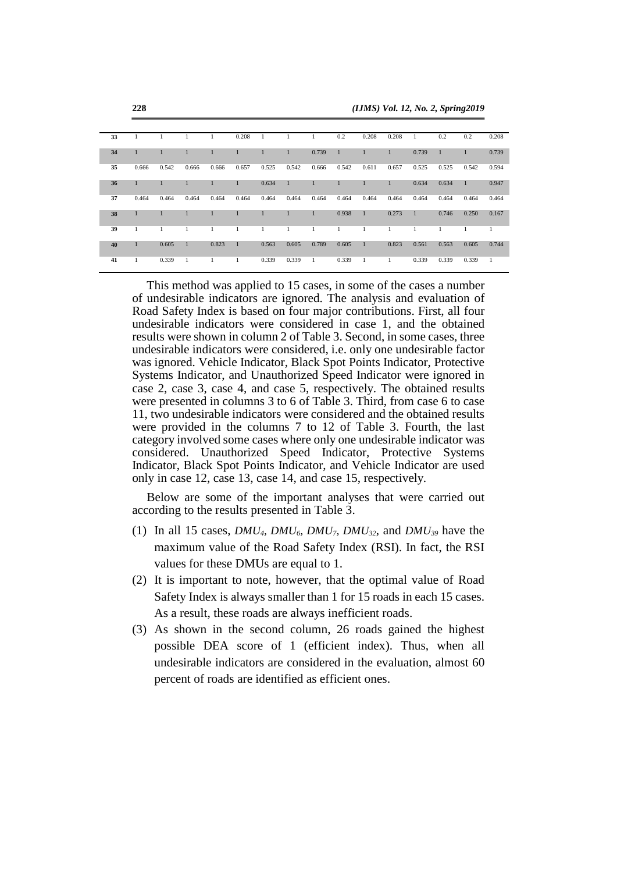| 33 |       |       | 1            |              | 0.208        |              |              |       | 0.2   | 0.208        | 0.208        | 1            | 0.2   | 0.2          | 0.208 |
|----|-------|-------|--------------|--------------|--------------|--------------|--------------|-------|-------|--------------|--------------|--------------|-------|--------------|-------|
| 34 |       |       |              | $\mathbf{1}$ | $\mathbf{1}$ |              | $\mathbf{1}$ | 0.739 |       |              | $\mathbf{1}$ | 0.739        | 1     |              | 0.739 |
| 35 | 0.666 | 0.542 | 0.666        | 0.666        | 0.657        | 0.525        | 0.542        | 0.666 | 0.542 | 0.611        | 0.657        | 0.525        | 0.525 | 0.542        | 0.594 |
| 36 |       |       |              | $\mathbf{1}$ | $\mathbf{1}$ | 0.634        | $\mathbf{1}$ |       |       | $\mathbf{1}$ | 1            | 0.634        | 0.634 | $\mathbf{1}$ | 0.947 |
| 37 | 0.464 | 0.464 | 0.464        | 0.464        | 0.464        | 0.464        | 0.464        | 0.464 | 0.464 | 0.464        | 0.464        | 0.464        | 0.464 | 0.464        | 0.464 |
| 38 |       |       |              |              | 1            | $\mathbf{1}$ | 1            |       | 0.938 | $\mathbf{1}$ | 0.273        | $\mathbf{1}$ | 0.746 | 0.250        | 0.167 |
| 39 | 1     | 1     | -1           | 1            | 1            | 1            | $\mathbf{1}$ | 1     | 1     | 1            | 1            | 1            | 1     | 1.           | 1     |
| 40 | 1     | 0.605 | $\mathbf{1}$ | 0.823        | $\mathbf{1}$ | 0.563        | 0.605        | 0.789 | 0.605 | $\mathbf{1}$ | 0.823        | 0.561        | 0.563 | 0.605        | 0.744 |
| 41 | 1     | 0.339 | 1            |              | 1            | 0.339        | 0.339        | 1     | 0.339 | 1            | 1            | 0.339        | 0.339 | 0.339        | 1     |

This method was applied to 15 cases, in some of the cases a number of undesirable indicators are ignored. The analysis and evaluation of Road Safety Index is based on four major contributions. First, all four undesirable indicators were considered in case 1, and the obtained results were shown in column 2 of Table 3. Second, in some cases, three undesirable indicators were considered, i.e. only one undesirable factor was ignored. Vehicle Indicator, Black Spot Points Indicator, Protective Systems Indicator, and Unauthorized Speed Indicator were ignored in case 2, case 3, case 4, and case 5, respectively. The obtained results were presented in columns 3 to 6 of Table 3. Third, from case 6 to case 11, two undesirable indicators were considered and the obtained results were provided in the columns 7 to 12 of Table 3. Fourth, the last category involved some cases where only one undesirable indicator was considered. Unauthorized Speed Indicator, Protective Systems Indicator, Black Spot Points Indicator, and Vehicle Indicator are used only in case 12, case 13, case 14, and case 15, respectively.

Below are some of the important analyses that were carried out according to the results presented in Table 3.

- (1) In all 15 cases, *DMU4, DMU6, DMU7, DMU32*, and *DMU<sup>39</sup>* have the maximum value of the Road Safety Index (RSI). In fact, the RSI values for these DMUs are equal to 1.
- (2) It is important to note, however, that the optimal value of Road Safety Index is always smaller than 1 for 15 roads in each 15 cases. As a result, these roads are always inefficient roads.
- (3) As shown in the second column, 26 roads gained the highest possible DEA score of 1 (efficient index). Thus, when all undesirable indicators are considered in the evaluation, almost 60 percent of roads are identified as efficient ones.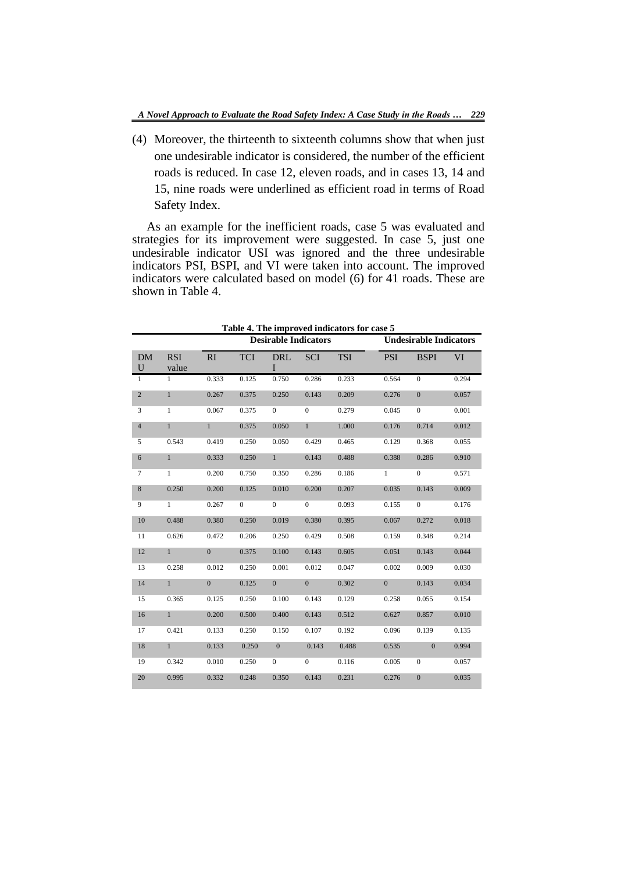(4) Moreover, the thirteenth to sixteenth columns show that when just one undesirable indicator is considered, the number of the efficient roads is reduced. In case 12, eleven roads, and in cases 13, 14 and 15, nine roads were underlined as efficient road in terms of Road Safety Index.

As an example for the inefficient roads, case 5 was evaluated and strategies for its improvement were suggested. In case 5, just one undesirable indicator USI was ignored and the three undesirable indicators PSI, BSPI, and VI were taken into account. The improved indicators were calculated based on model (6) for 41 roads. These are shown in Table 4.

|                |                     |                |              | <b>Desirable Indicators</b> |                |            | <b>Undesirable Indicators</b> |                |           |
|----------------|---------------------|----------------|--------------|-----------------------------|----------------|------------|-------------------------------|----------------|-----------|
| <b>DM</b><br>U | <b>RSI</b><br>value | RI             | <b>TCI</b>   | <b>DRL</b><br>L             | <b>SCI</b>     | <b>TSI</b> | <b>PSI</b>                    | <b>BSPI</b>    | <b>VI</b> |
| $\mathbf{1}$   | $\mathbf{1}$        | 0.333          | 0.125        | 0.750                       | 0.286          | 0.233      | 0.564                         | $\Omega$       | 0.294     |
| $\overline{2}$ | $\mathbf{1}$        | 0.267          | 0.375        | 0.250                       | 0.143          | 0.209      | 0.276                         | $\Omega$       | 0.057     |
| 3              | $\mathbf{1}$        | 0.067          | 0.375        | $\mathbf{0}$                | $\mathbf{0}$   | 0.279      | 0.045                         | $\mathbf{0}$   | 0.001     |
| $\overline{4}$ | $\mathbf{1}$        | $\mathbf{1}$   | 0.375        | 0.050                       | $\mathbf{1}$   | 1.000      | 0.176                         | 0.714          | 0.012     |
| 5              | 0.543               | 0.419          | 0.250        | 0.050                       | 0.429          | 0.465      | 0.129                         | 0.368          | 0.055     |
| 6              | $\mathbf{1}$        | 0.333          | 0.250        | $\mathbf{1}$                | 0.143          | 0.488      | 0.388                         | 0.286          | 0.910     |
| $\tau$         | $\mathbf{1}$        | 0.200          | 0.750        | 0.350                       | 0.286          | 0.186      | $\mathbf{1}$                  | $\overline{0}$ | 0.571     |
| 8              | 0.250               | 0.200          | 0.125        | 0.010                       | 0.200          | 0.207      | 0.035                         | 0.143          | 0.009     |
| 9              | $\mathbf{1}$        | 0.267          | $\mathbf{0}$ | $\mathbf{0}$                | $\Omega$       | 0.093      | 0.155                         | $\overline{0}$ | 0.176     |
| 10             | 0.488               | 0.380          | 0.250        | 0.019                       | 0.380          | 0.395      | 0.067                         | 0.272          | 0.018     |
| 11             | 0.626               | 0.472          | 0.206        | 0.250                       | 0.429          | 0.508      | 0.159                         | 0.348          | 0.214     |
| 12             | $\mathbf{1}$        | $\overline{0}$ | 0.375        | 0.100                       | 0.143          | 0.605      | 0.051                         | 0.143          | 0.044     |
| 13             | 0.258               | 0.012          | 0.250        | 0.001                       | 0.012          | 0.047      | 0.002                         | 0.009          | 0.030     |
| 14             | $\mathbf{1}$        | $\mathbf{0}$   | 0.125        | $\overline{0}$              | $\overline{0}$ | 0.302      | $\overline{0}$                | 0.143          | 0.034     |
| 15             | 0.365               | 0.125          | 0.250        | 0.100                       | 0.143          | 0.129      | 0.258                         | 0.055          | 0.154     |
| 16             | $\mathbf{1}$        | 0.200          | 0.500        | 0.400                       | 0.143          | 0.512      | 0.627                         | 0.857          | 0.010     |
| 17             | 0.421               | 0.133          | 0.250        | 0.150                       | 0.107          | 0.192      | 0.096                         | 0.139          | 0.135     |
| 18             | $\mathbf{1}$        | 0.133          | 0.250        | $\overline{0}$              | 0.143          | 0.488      | 0.535                         | $\theta$       | 0.994     |
| 19             | 0.342               | 0.010          | 0.250        | $\mathbf{0}$                | $\overline{0}$ | 0.116      | 0.005                         | $\overline{0}$ | 0.057     |
| 20             | 0.995               | 0.332          | 0.248        | 0.350                       | 0.143          | 0.231      | 0.276                         | $\overline{0}$ | 0.035     |

**Table 4. The improved indicators for case 5**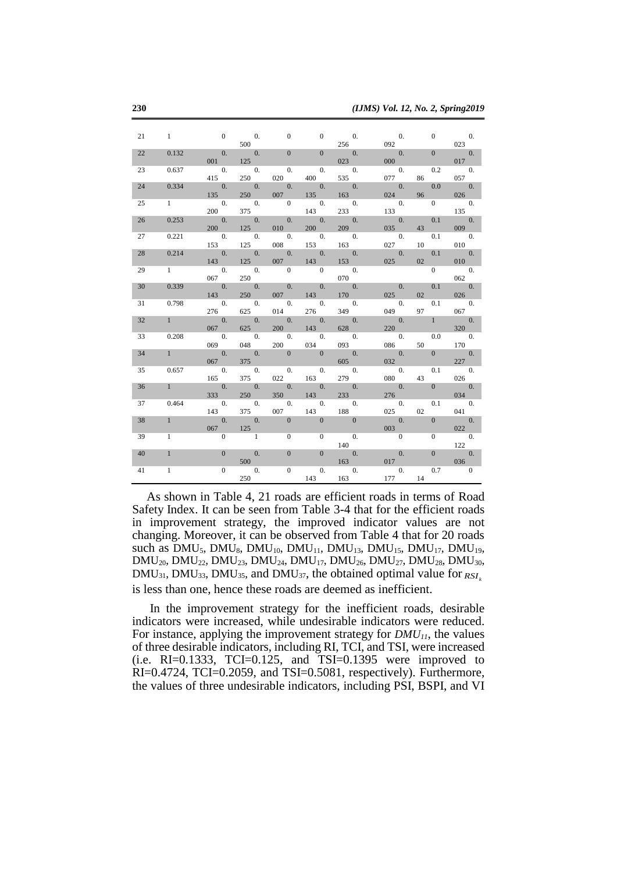| 21 | $\mathbf{1}$   | $\sim$ 0                    | $\hspace{1.6cm}0.$          | $\overline{0}$              | $\overline{0}$             | $\overline{0}$ .                            | $\hspace{1.6cm}0.$        | $\overline{0}$     | 0.                        |
|----|----------------|-----------------------------|-----------------------------|-----------------------------|----------------------------|---------------------------------------------|---------------------------|--------------------|---------------------------|
|    |                |                             | 500                         |                             |                            | 256                                         | 092                       |                    | 023                       |
| 22 | 0.132          | $\sim$ 0.                   | $\overline{0}$ .            |                             | $\mathbf{0}$               | $\overline{0}$ .                            | 0.                        | $\mathbf{0}$       | 0.                        |
|    |                | 001                         | 125                         |                             |                            | 023                                         | 000                       |                    | 017                       |
| 23 | 0.637          | 0.                          | 0.                          | $\overline{0}$ .            | $\overline{0}$ .           | $\theta$ .                                  | $\theta$ .                | 0.2                | $\hspace{1.6cm}0.$        |
| 24 |                | 415                         | 250                         | 020                         | 400                        | 535                                         | 077<br>$\hspace{1.6cm}0.$ | 86<br>0.0          | 057                       |
|    | 0.334          | $\hspace{1.6cm}0.$<br>135   | $\hspace{1.6cm}0.$<br>250   | $\hspace{1.6cm}0.$<br>007   | $\hspace{1.6cm}0.$<br>135  | $\hspace{1.6cm}0.$<br>163                   | 024                       | 96                 | $\hspace{1.6cm}0.$<br>026 |
| 25 | $1 \quad$      | $\hspace{1.6cm}0.$          | $\overline{\phantom{a}}$ 0. | $\overline{\phantom{0}}$    | 0.                         | $\hspace{1.6cm}0.$                          | $\hspace{0.1cm}0.$        | $\overline{0}$     | $\hspace{1.6cm}0.$        |
|    |                | 200                         | 375                         |                             | 143                        | 233                                         | 133                       |                    | 135                       |
| 26 | 0.253          | $\hspace{1.6cm}0.$          | $\overline{0}$ .            | $\hspace{1.6cm}0.$          | $\overline{0}$ .           | $\overline{0}$ .                            | $\overline{0}$ .          | 0.1                | $\overline{0}$ .          |
|    |                | 200                         | 125                         | 010                         | 200                        | 209                                         | 035                       | 43                 | 009                       |
| 27 | 0.221          | 0.                          | 0.                          | 0.                          | 0.                         | 0.                                          | $\theta$ .                | 0.1                | $\overline{0}$ .          |
|    |                | 153                         | 125                         | 008                         | 153                        | 163                                         | 027                       | 10                 | 010                       |
| 28 | 0.214          | $\qquad \qquad 0.$          | $\qquad 0.$                 | $\hspace{1.6cm}0.$          | 0.                         | $\hspace{1.6cm}0.$                          | $\theta$ .                | 0.1                | $\hspace{1.6cm}0.$        |
|    |                | 143                         | 125                         | 007                         | 143                        | 153                                         | 025                       | 02                 | 010                       |
| 29 | $1 \quad \Box$ | $\hspace{1.6cm}0.$          | 0.                          | $\overline{\phantom{0}}$    | $\mathbf{0}$               | 0.                                          |                           | $\overline{0}$     | $\overline{0}$ .          |
| 30 | 0.339          | 067<br>$\qquad \qquad 0.$   | 250<br>$\qquad 0.$          | $\qquad \qquad 0.$          | $\overline{0}$ .           | 070<br>0.                                   | $\overline{0}$ .          | 0.1                | 062<br>$\overline{0}$ .   |
|    |                | 143                         | 250                         | 007                         | 143                        | 170                                         | 025                       | 02                 | 026                       |
| 31 | 0.798          | 0.                          | 0.                          | $\hspace{1.6cm}0.$          | $\overline{0}$ .           | $\theta$ .                                  | 0.                        | 0.1                | $\hspace{1.6cm}0.$        |
|    |                | 276                         | 625                         | 014                         | 276                        | 349                                         | 049                       | 97                 | 067                       |
| 32 | 1              | $\hspace{1.6cm}0.$          | $\qquad \qquad 0.$          | $\hspace{1.6cm}0.$          | $\overline{0}$ .           | $\hspace{1.6cm}0.$                          | $\hspace{1.6cm}0.$        | $\mathbf{1}$       | $\hspace{1.6cm}0.$        |
|    |                | 067                         | 625                         | 200                         | 143                        | 628                                         | 220                       |                    | 320                       |
| 33 | 0.208          | $\overline{\phantom{a}}$ 0. | $\hspace{1.6cm}0.$          | $\overline{\phantom{a}}$ 0. | $\hspace{1.6cm}0.$         | 0.                                          | $\hspace{1.6cm}0.$        | 0.0                | $\hspace{1.6cm}0.$        |
|    |                | 069                         | 048                         | 200                         | 034                        | 093                                         | 086                       | 50                 | 170                       |
| 34 | 1              | 0.                          | $\overline{0}$ .            | $\mathbf{0}$                | $\overline{\phantom{0}}$ 0 | $\theta$ .                                  | $\overline{0}$ .          | $\mathbf{0}$       | $\overline{0}$ .          |
|    |                | 067                         | 375                         |                             |                            | 605                                         | 032                       |                    | 227                       |
| 35 | 0.657          | 0.<br>165                   | 0.                          | $\hspace{1.6cm}0.$<br>022   | $\overline{0}$ .           | $\hspace{1.6cm}0.$<br>279                   | 0.<br>080                 | 0.1                | $\hspace{0.1em}0.$<br>026 |
| 36 | 1              | 0.                          | 375<br>$\theta$ .           | $\overline{0}$ .            | 163<br>$\overline{0}$ .    | $\overline{0}$ .                            | $\overline{0}$ .          | 43<br>$\mathbf{0}$ | $\overline{0}$ .          |
|    |                | 333                         | 250                         | 350                         | 143                        | 233                                         | 276                       |                    | 034                       |
| 37 | 0.464          | $\overline{0}$ .            | 0.                          | $\overline{0}$ .            | $\overline{0}$ .           | $\overline{0}$ .                            | $\overline{0}$ .          | 0.1                | $\overline{0}$ .          |
|    |                | 143                         | 375                         | 007                         | 143                        | 188                                         | 025                       | 02                 | 041                       |
| 38 | $\mathbf{1}$   | $\theta$ .                  | $\overline{0}$ .            | $\Omega$                    | $\overline{0}$             | $\overline{0}$                              | $\theta$ .                | $\Omega$           | $\overline{0}$ .          |
|    |                | 067                         | 125                         |                             |                            |                                             | 003                       |                    | 022                       |
| 39 | 1              | $\mathbf{0}$                | $\overline{1}$              | $\mathbf{0}$                | $\overline{0}$             | $\begin{array}{cc} \hline & 0. \end{array}$ | $\overline{0}$            | $\mathbf{0}$       | 0.                        |
|    |                |                             |                             |                             |                            | 140                                         |                           |                    | 122                       |
| 40 | $\mathbf{1}$   | $\mathbf{0}$                | $\theta$ .                  | $\mathbf{0}$                | $\overline{0}$             | $\theta$ .                                  | $\theta$ .                | $\mathbf{0}$       | $\theta$ .                |
|    |                |                             | 500                         |                             |                            | 163                                         | 017                       |                    | 036                       |
| 41 | $\mathbf{1}$   | $\mathbf{0}$                | $\overline{0}$ .<br>250     | $\mathbf{0}$                | $\overline{0}$ .           | $\overline{0}$ .                            | $\overline{0}$ .          | 0.7                |                           |
|    |                |                             |                             |                             | 143                        | 163                                         | 177                       | 14                 |                           |

As shown in Table 4, 21 roads are efficient roads in terms of Road Safety Index. It can be seen from Table 3-4 that for the efficient roads in improvement strategy, the improved indicator values are not changing. Moreover, it can be observed from Table 4 that for 20 roads such as DMU<sub>5</sub>, DMU<sub>8</sub>, DMU<sub>10</sub>, DMU<sub>11</sub>, DMU<sub>13</sub>, DMU<sub>15</sub>, DMU<sub>17</sub>, DMU<sub>19</sub>, DMU20, DMU22, DMU23, DMU24, DMU17, DMU26, DMU27, DMU28, DMU30, DMU<sub>31</sub>, DMU<sub>33</sub>, DMU<sub>35</sub>, and DMU<sub>37</sub>, the obtained optimal value for  $RSI_k$ is less than one, hence these roads are deemed as inefficient.

In the improvement strategy for the inefficient roads, desirable indicators were increased, while undesirable indicators were reduced. For instance, applying the improvement strategy for *DMU11*, the values of three desirable indicators, including RI, TCI, and TSI, were increased  $(i.e.$  RI=0.1333, TCI=0.125, and TSI=0.1395 were improved to RI=0.4724, TCI=0.2059, and TSI=0.5081, respectively). Furthermore, the values of three undesirable indicators, including PSI, BSPI, and VI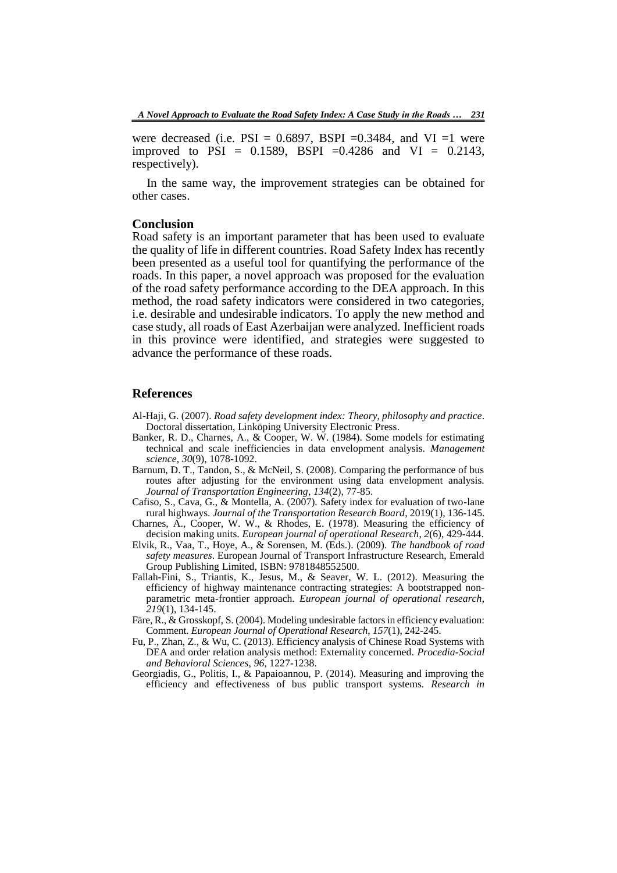were decreased (i.e.  $PSI = 0.6897$ ,  $BSPI = 0.3484$ , and VI =1 were improved to PSI =  $0.1589$ , BSPI =  $0.4286$  and VI =  $0.2143$ , respectively).

In the same way, the improvement strategies can be obtained for other cases.

## **Conclusion**

Road safety is an important parameter that has been used to evaluate the quality of life in different countries. Road Safety Index has recently been presented as a useful tool for quantifying the performance of the roads. In this paper, a novel approach was proposed for the evaluation of the road safety performance according to the DEA approach. In this method, the road safety indicators were considered in two categories, i.e. desirable and undesirable indicators. To apply the new method and case study, all roads of East Azerbaijan were analyzed. Inefficient roads in this province were identified, and strategies were suggested to advance the performance of these roads.

### **References**

- Al-Haji, G. (2007). *Road safety development index: Theory, philosophy and practice*. Doctoral dissertation, Linköping University Electronic Press.
- Banker, R. D., Charnes, A., & Cooper, W. W. (1984). Some models for estimating technical and scale inefficiencies in data envelopment analysis. *Management science*, *30*(9), 1078-1092.
- Barnum, D. T., Tandon, S., & McNeil, S. (2008). Comparing the performance of bus routes after adjusting for the environment using data envelopment analysis. *Journal of Transportation Engineering*, *134*(2), 77-85.
- Cafiso, S., Cava, G., & Montella, A. (2007). Safety index for evaluation of two-lane rural highways. *Journal of the Transportation Research Board*, 2019(1), 136-145.
- Charnes, A., Cooper, W. W., & Rhodes, E. (1978). Measuring the efficiency of decision making units. *European journal of operational Research*, *2*(6), 429-444.
- Elvik, R., Vaa, T., Hoye, A., & Sorensen, M. (Eds.). (2009). *The handbook of road safety measures*. European Journal of Transport Infrastructure Research, Emerald Group Publishing Limited, ISBN: 9781848552500.
- Fallah-Fini, S., Triantis, K., Jesus, M., & Seaver, W. L. (2012). Measuring the efficiency of highway maintenance contracting strategies: A bootstrapped nonparametric meta-frontier approach. *European journal of operational research*, *219*(1), 134-145.
- Färe, R., & Grosskopf, S. (2004). Modeling undesirable factors in efficiency evaluation: Comment. *European Journal of Operational Research*, *157*(1), 242-245.
- Fu, P., Zhan, Z., & Wu, C. (2013). Efficiency analysis of Chinese Road Systems with DEA and order relation analysis method: Externality concerned. *Procedia-Social and Behavioral Sciences*, *96*, 1227-1238.
- Georgiadis, G., Politis, I., & Papaioannou, P. (2014). Measuring and improving the efficiency and effectiveness of bus public transport systems. *Research in*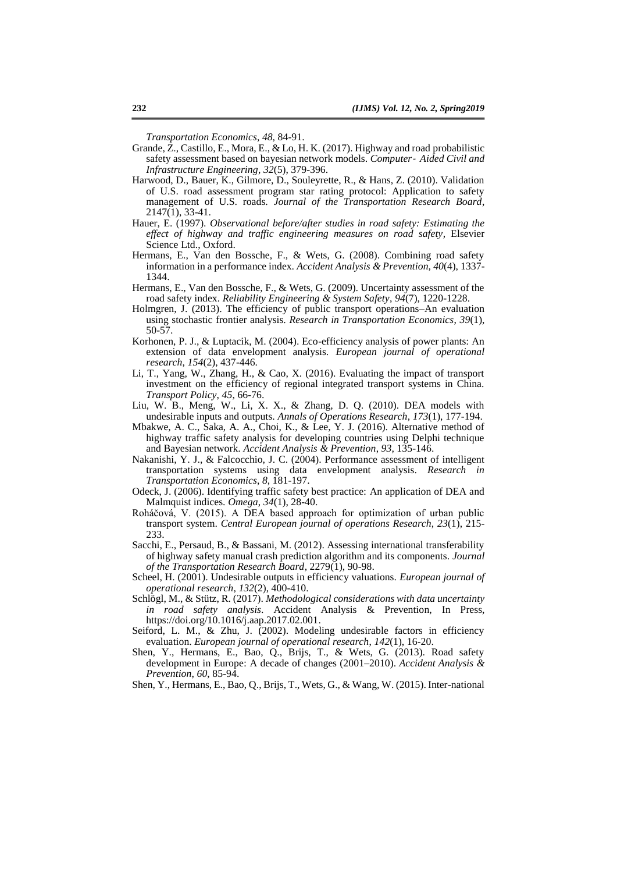*Transportation Economics*, *48*, 84-91.

- Grande, Z., Castillo, E., Mora, E., & Lo, H. K. (2017). Highway and road probabilistic safety assessment based on bayesian network models. *Computer*‐ *Aided Civil and Infrastructure Engineering*, *32*(5), 379-396.
- Harwood, D., Bauer, K., Gilmore, D., Souleyrette, R., & Hans, Z. (2010). Validation of U.S. road assessment program star rating protocol: Application to safety management of U.S. roads. *Journal of the Transportation Research Board*, 2147(1), 33-41.
- Hauer, E. (1997). *Observational before/after studies in road safety: Estimating the effect of highway and traffic engineering measures on road safety,* Elsevier Science Ltd., Oxford.
- Hermans, E., Van den Bossche, F., & Wets, G. (2008). Combining road safety information in a performance index. *Accident Analysis & Prevention, 40*(4), 1337- 1344.
- Hermans, E., Van den Bossche, F., & Wets, G. (2009). Uncertainty assessment of the road safety index. *Reliability Engineering & System Safety*, *94*(7), 1220-1228.
- Holmgren, J. (2013). The efficiency of public transport operations–An evaluation using stochastic frontier analysis. *Research in Transportation Economics*, *39*(1), 50-57.
- Korhonen, P. J., & Luptacik, M. (2004). Eco-efficiency analysis of power plants: An extension of data envelopment analysis. *European journal of operational research*, *154*(2), 437-446.
- Li, T., Yang, W., Zhang, H., & Cao, X. (2016). Evaluating the impact of transport investment on the efficiency of regional integrated transport systems in China. *Transport Policy*, *45*, 66-76.
- Liu, W. B., Meng, W., Li, X. X., & Zhang, D. Q. (2010). DEA models with undesirable inputs and outputs. *Annals of Operations Research*, *173*(1), 177-194.
- Mbakwe, A. C., Saka, A. A., Choi, K., & Lee, Y. J. (2016). Alternative method of highway traffic safety analysis for developing countries using Delphi technique and Bayesian network. *Accident Analysis & Prevention*, *93*, 135-146.
- Nakanishi, Y. J., & Falcocchio, J. C. (2004). Performance assessment of intelligent transportation systems using data envelopment analysis*. Research in Transportation Economics*, *8*, 181-197.
- Odeck, J. (2006). Identifying traffic safety best practice: An application of DEA and Malmquist indices. *Omega*, *34*(1), 28-40.
- Roháčová, V. (2015). A DEA based approach for optimization of urban public transport system. *Central European journal of operations Research*, *23*(1), 215- 233.
- Sacchi, E., Persaud, B., & Bassani, M. (2012). Assessing international transferability of highway safety manual crash prediction algorithm and its components. *Journal of the Transportation Research Board*, 2279(1), 90-98.
- Scheel, H. (2001). Undesirable outputs in efficiency valuations. *European journal of operational research*, *132*(2), 400-410.
- Schlögl, M., & Stütz, R. (2017). *Methodological considerations with data uncertainty in road safety analysis*. Accident Analysis & Prevention, In Press, https://doi.org/10.1016/j.aap.2017.02.001.
- Seiford, L. M.,  $\&$  Zhu, J. (2002). Modeling undesirable factors in efficiency evaluation. *European journal of operational research*, *142*(1), 16-20.
- Shen, Y., Hermans, E., Bao, Q., Brijs, T., & Wets, G. (2013). Road safety development in Europe: A decade of changes (2001–2010). *Accident Analysis & Prevention*, *60*, 85-94.

Shen, Y., Hermans, E., Bao, Q., Brijs, T., Wets, G., & Wang, W. (2015). Inter-national